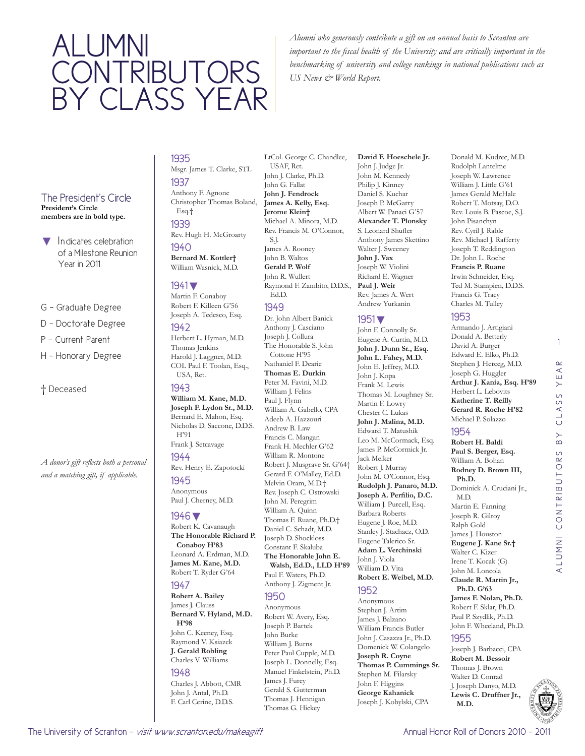# ALUMNI **CONTRIBUTORS** BY CLASS YEAR

*Alumni who generously contribute a gift on an annual basis to Scranton are important to the fiscal health of the University and are critically important in the benchmarking of university and college rankings in national publications such as US News & World Report.* 

#### The President's Circle **President's Circle members are in bold type.**

- Indicates celebration of a Milestone Reunion Year in 2011
- G Graduate Degree
- D Doctorate Degree
- P Current Parent
- H Honorary Degree

#### † Deceased

*A donor's gift reflects both a personal and a matching gift, if applicable.* 

#### 1935 Msgr. James T. Clarke, STL

1937 Anthony F. Agnone Christopher Thomas Boland, Esq.† 1939

## Rev. Hugh H. McGroarty

1940 **Bernard M. Kottler†** William Wasnick, M.D.

## 1941▼

Martin F. Conaboy Robert F. Killeen G'56

## Joseph A. Tedesco, Esq.

1942 Herbert L. Hyman, M.D. Thomas Jenkins Harold J. Laggner, M.D. COL Paul F. Toolan, Esq., USA, Ret.

### 1943

**William M. Kane, M.D. Joseph F. Lydon Sr., M.D.**  Bernard E. Mahon, Esq. Nicholas D. Saccone, D.D.S. H'91 Frank J. Setcavage

#### 1944

Rev. Henry E. Zapotocki

#### 1945

Anonymous Paul J. Cherney, M.D.

#### 1946▼

Robert K. Cavanaugh **The Honorable Richard P. Conaboy H'83** Leonard A. Erdman, M.D. **James M. Kane, M.D.**  Robert T. Ryder G'64

#### 1947

**Robert A. Bailey**  James J. Clauss **Bernard V. Hyland, M.D. H'98** John C. Keeney, Esq. Raymond V. Ksiazek **J. Gerald Robling**  Charles V. Williams

## John J. Antal, Ph.D. F. Carl Cerine, D.D.S.

## 1948

Charles J. Abbott, CMR

LtCol. George C. Chandlee, USAF, Ret. John J. Clarke, Ph.D. John G. Fallat **John J. Fendrock James A. Kelly, Esq. Jerome Klein†** Michael A. Minora, M.D. Rev. Francis M. O'Connor, S.J. James A. Rooney John B. Waltos **Gerald P. Wolf**  John R. Wullert Raymond F. Zambito, D.D.S., Ed.D.

#### 1949

Dr. John Albert Banick Anthony J. Casciano Joseph J. Collura The Honorable S. John Cottone H'95 Nathaniel F. Dearie **Thomas E. Durkin**  Peter M. Favini, M.D. William I. Felins Paul J. Flynn William A. Gabello, CPA Adeeb A. Hazzouri Andrew B. Law Francis C. Mangan Frank H. Mechler G'62 William R. Montone Robert J. Musgrave Sr. G'64† Gerard F. O'Malley, Ed.D. Melvin Oram, M.D.† Rev. Joseph C. Ostrowski John M. Peregrim William A. Quinn Thomas F. Ruane, Ph.D.† Daniel C. Schadt, M.D. Joseph D. Shockloss Constant F. Skaluba **The Honorable John E. Walsh, Ed.D., LLD H'89** Paul F. Waters, Ph.D. Anthony J. Zigment Jr. 1950 Anonymous Robert W. Avery, Esq. Joseph P. Bartek John Burke William J. Burns Peter Paul Cupple, M.D. Joseph L. Donnelly, Esq. Manuel Finkelstein, Ph.D.

James J. Furey Gerald S. Gutterman Thomas J. Hennigan Thomas G. Hickey

#### **David F. Hoeschele Jr.**  John J. Judge Jr. John M. Kennedy Philip J. Kinney Daniel S. Kuchar Joseph P. McGarry Albert W. Panaci G'57 **Alexander T. Plonsky**  S. Leonard Shufler Anthony James Skettino Walter J. Sweeney **John J. Vax**  Joseph W. Violini Richard E. Wagner **Paul J. Weir**  Rev. James A. Wert Andrew Yurkanin

#### 1951▼

John F. Connolly Sr. Eugene A. Curtin, M.D. **John J. Dunn Sr., Esq. John L. Fahey, M.D.**  John E. Jeffrey, M.D. John J. Kopa Frank M. Lewis Thomas M. Loughney Sr. Martin F. Lowry Chester C. Lukas **John J. Malina, M.D.**  Edward T. Matushik Leo M. McCormack, Esq. James P. McCormick Jr. Jack Melker Robert J. Murray John M. O'Connor, Esq. **Rudolph J. Panaro, M.D. Joseph A. Perfilio, D.C.** William J. Purcell, Esq. Barbara Roberts Eugene J. Roe, M.D. Stanley J. Stachacz, O.D. Eugene Talerico Sr. **Adam L. Verchinski**  John J. Viola William D. Vita **Robert E. Weibel, M.D.** 

#### 1952

Anonymous Stephen J. Artim James J. Balzano William Francis Butler John J. Casazza Jr., Ph.D. Domenick W. Colangelo **Joseph R. Coyne Thomas P. Cummings Sr.**  Stephen M. Filarsky John F. Higgins **George Kahanick**  Joseph J. Kobylski, CPA

Donald M. Kudrec, M.D. Rudolph Lantelme Joseph W. Lawrence William J. Little G'61 James Gerald McHale Robert T. Motsay, D.O. Rev. Louis B. Pascoe, S.J. John Pisanchyn Rev. Cyril J. Rable Rev. Michael J. Rafferty Joseph T. Reddington Dr. John L. Roche **Francis P. Ruane**  Irwin Schneider, Esq. Ted M. Stampien, D.D.S. Francis G. Tracy Charles M. Tulley

#### 1953

Armando J. Artigiani Donald A. Betterly David A. Burger Edward E. Elko, Ph.D. Stephen J. Herceg, M.D. Joseph G. Huggler **Arthur J. Kania, Esq. H'89** Herbert L. Lebovits **Katherine T. Reilly Gerard R. Roche H'82** Michael P. Solazzo

## 1954

**Robert H. Baldi Paul S. Berger, Esq.**  William A. Bohan **Rodney D. Brown III, Ph.D.**  Dominick A. Cruciani Jr., M.D. Martin E. Fanning Joseph R. Gilroy Ralph Gold James J. Houston **Eugene J. Kane Sr.†** Walter C. Kizer Irene T. Kocak (G) John M. Loncola **Claude R. Martin Jr., Ph.D. G'63 James F. Nolan, Ph.D.**  Robert F. Sklar, Ph.D. Paul P. Szydlik, Ph.D.

#### John F. Wheeland, Ph.D. 1955

Joseph J. Barbacci, CPA **Robert M. Bessoir**  Thomas J. Brown Walter D. Conrad J. Joseph Danyo, M.D. **Lewis C. Druffner Jr., M.D.** 



1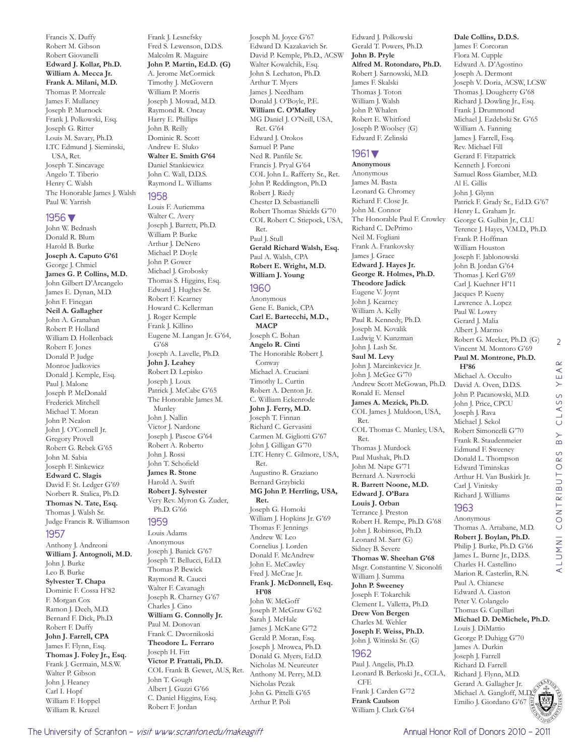Francis X. Duffy Robert M. Gibson Robert Giovanelli **Edward J. Kollar, Ph.D. William A. Mecca Jr. Frank A. Milani, M.D.**  Thomas P. Morreale James F. Mullaney Joseph P. Murnock Frank J. Polkowski, Esq. Joseph G. Ritter Louis M. Savary, Ph.D. LTC Edmund J. Sieminski, USA, Ret. Joseph T. Sincavage Angelo T. Tiberio Henry C. Walsh The Honorable James J. Walsh Paul W. Yarrish

#### 1956▼

John W. Bednash Donald R. Blum Harold B. Burke **Joseph A. Caputo G'61** George J. Chmiel **James G. P. Collins, M.D.**  John Gilbert D'Arcangelo James E. Dynan, M.D. John F. Finegan **Neil A. Gallagher**  John A. Granahan Robert P. Holland William D. Hollenback Robert F. Jones Donald P. Judge Monroe Judkovics Donald J. Kemple, Esq. Paul J. Malone Joseph P. McDonald Frederick Mitchell Michael T. Moran John P. Nealon John J. O'Connell Jr. Gregory Provell Robert G. Rebek G'65 John M. Sabia Joseph F. Sinkewicz **Edward C. Slagis**  David F. St. Ledger G'69 Norbert R. Stalica, Ph.D. **Thomas N. Tate, Esq.**  Thomas J. Walsh Sr. Judge Francis R. Williamson

#### 1957

Anthony J. Andreoni **William J. Antognoli, M.D.**  John J. Burke Leo B. Burke **Sylvester T. Chapa**  Dominic F. Cossa H'82 F. Morgan Cox Ramon J. Deeb, M.D. Bernard F. Dick, Ph.D. Robert F. Duffy **John J. Farrell, CPA**  James F. Flynn, Esq. **Thomas J. Foley Jr., Esq.**  Frank J. Germain, M.S.W. Walter P. Gibson John J. Heaney Carl I. Hopf William F. Hoppel William R. Kruzel

Frank J. Lesnefsky Fred S. Lewenson, D.D.S. Malcolm R. Maguire **John P. Martin, Ed.D. (G)** A. Jerome McCormick Timothy J. McGovern William P. Morris Joseph J. Mowad, M.D. Raymond R. Oncay Harry E. Phillips John B. Reilly Dominic R. Scott Andrew E. Sluko **Walter E. Smith G'64** Daniel Stankiewicz John C. Wall, D.D.S. Raymond L. Williams

#### 1958

Louis F. Auriemma Walter C. Avery Joseph J. Barrett, Ph.D. William P. Burke Arthur J. DeNero Michael P. Doyle John P. Gower Michael J. Grobosky Thomas S. Higgins, Esq. Edward J. Hughes Sr. Robert F. Kearney Howard C. Kellerman J. Roger Kemple Frank J. Killino Eugene M. Langan Jr. G'64, G'68 Joseph A. Lavelle, Ph.D. **John J. Leahey**  Robert D. Lepisko Joseph J. Loux Patrick J. McCabe G'65 The Honorable James M. Munley John J. Nallin Victor J. Nardone Joseph J. Pascoe G'64 Robert A. Roberto John J. Rossi John T. Schofield **James R. Stone**  Harold A. Swift **Robert J. Sylvester**  Very Rev. Myron G. Zuder, Ph.D. G'66

#### 1959

Louis Adams Anonymous Joseph J. Banick G'67 Joseph T. Bellucci, Ed.D. Thomas P. Bewick Raymond R. Caucci Walter F. Cavanagh Joseph R. Charney G'67 Charles J. Cino **William G. Connolly Jr.**  Paul M. Donovan Frank C. Dwornikoski **Theodore L. Ferraro**  Joseph H. Fitt **Victor P. Frattali, Ph.D.**  COL Frank B. Gewet, AUS, Ret. John T. Gough Albert J. Guzzi G'66 C. Daniel Higgins, Esq. Robert F. Jordan

Edward D. Kazakavich Sr. David P. Kemple, Ph.D., ACSW Walter Kowalchik, Esq. John S. Lechaton, Ph.D. Arthur T. Myers James J. Needham Donald J. O'Boyle, P.E. **William C. O'Malley**  MG Daniel J. O'Neill, USA, Ret. G'64 Edward J. Orokos Samuel P. Pane Ned R. Panfile Sr. Francis J. Pryal G'64 COL John L. Rafferty Sr., Ret. John P. Reddington, Ph.D. Robert J. Riedy Chester D. Sebastianelli Robert Thomas Shields G'70 COL Robert C. Stiepock, USA, Ret. Paul J. Stull **Gerald Richard Walsh, Esq.**  Paul A. Walsh, CPA **Robert E. Wright, M.D. William J. Young** 

Joseph M. Joyce G'67

#### 1960

Anonymous Gene E. Banick, CPA **Carl E. Bartecchi, M.D., MACP**  Joseph C. Bohan **Angelo R. Cinti**  The Honorable Robert J. Conway Michael A. Cruciani Timothy L. Curtin Robert A. Denton Jr. C. William Eckenrode **John J. Ferry, M.D.**  Joseph T. Finnan Richard C. Gervasini Carmen M. Gigliotti G'67 John J. Gilligan G'70 LTC Henry C. Gilmore, USA, Ret. Augustino R. Graziano Bernard Grzybicki **MG John P. Herrling, USA, Ret.**  Joseph G. Homoki William J. Hopkins Jr. G'69 Thomas F. Jennings Andrew W. Leo Cornelius J. Lorden Donald F. McAndrew John E. McCawley Fred J. McCrae Jr. **Frank J. McDonnell, Esq. H'08** John W. McGoff Joseph P. McGraw G'62 Sarah J. McHale James J. McKane G'72 Gerald P. Moran, Esq. Joseph J. Mrowca, Ph.D. Donald G. Myers, Ed.D. Nicholas M. Neureuter Anthony M. Perry, M.D. Nicholas Pezak John G. Pittelli G'65 Arthur P. Poli

Edward J. Polkowski Gerald T. Powers, Ph.D. **John B. Pryle Alfred M. Rotondaro, Ph.D.**  Robert J. Sarnowski, M.D. James F. Skalski Thomas J. Toton William J. Walsh John P. Whalen Robert E. Whitford Joseph P. Woolsey (G) Edward F. Zelinski

#### 1961▼

**Anonymous** Anonymous James M. Basta Leonard G. Chromey Richard F. Close Jr. John M. Connor The Honorable Paul F. Crowley Richard C. DePrimo Neil M. Fogliani Frank A. Frankovsky James J. Grace **Edward J. Hayes Jr. George R. Holmes, Ph.D. Theodore Jadick**  Eugene V. Joynt John J. Kearney William A. Kelly Paul R. Kennedy, Ph.D. Joseph M. Kovalik Ludwig V. Kunzman John J. Lash Sr. **Saul M. Levy**  John J. Marcinkevicz Jr. John J. McGee G'70 Andrew Scott McGowan, Ph.D. Ronald E. Mensel **James A. Mezick, Ph.D.**  COL James J. Muldoon, USA, Ret. COL Thomas C. Munley, USA, Ret. Thomas J. Murdock Paul Mushak, Ph.D. John M. Nape G'71 Bernard A. Nawrocki **R. Barrett Noone, M.D. Edward J. O'Bara Louis J. Orban**  Terrance J. Preston Robert H. Rempe, Ph.D. G'68 John J. Robinson, Ph.D. Leonard M. Sarr (G) Sidney B. Severe **Thomas W. Sheehan G'68** Msgr. Constantine V. Siconolfi William J. Summa **John P. Sweeney**  Joseph F. Tokarchik Clement L. Valletta, Ph.D. **Drew Von Bergen**  Charles M. Wehler **Joseph F. Weiss, Ph.D.**  John J. Witinski Sr. (G)

#### 1962

Paul J. Angelis, Ph.D. Leonard B. Berkoski Jr., CCLA, CFE Frank J. Carden G'72 **Frank Caulson**  William J. Clark G'64

#### **Dale Collins, D.D.S.**

James F. Corcoran Flora M. Cupple Edward A. D'Agostino Joseph A. Dermont Joseph V. Doria, ACSW, LCSW Thomas J. Dougherty G'68 Richard J. Dowling Jr., Esq. Frank J. Drummond Michael J. Ezdebski Sr. G'65 William A. Fanning James J. Farrell, Esq. Rev. Michael Fill Gerard F. Fitzpatrick Kenneth J. Forconi Samuel Ross Giamber, M.D. Al E. Gillis John J. Glynn Patrick F. Grady Sr., Ed.D. G'67 Henry L. Graham Jr. George G. Gulbin Jr., CLU Terence J. Hayes, V.M.D., Ph.D. Frank P. Hoffman William Houston Joseph F. Jablonowski John B. Jordan G'64 Thomas J. Kerl G'69 Carl J. Kuehner H'11 Jacques P. Kueny Lawrence A. Lopez Paul W. Lowry Gerard J. Malia Albert J. Marmo Robert G. Meeker, Ph.D. (G) Vincent M. Montoro G'69 **Paul M. Montrone, Ph.D. H'86** Michael A. Occulto David A. Oven, D.D.S. John P. Pacanowski, M.D. John J. Price, CPCU Joseph J. Rava Michael J. Sekol Robert Simoncelli G'70 Frank R. Staudenmeier Edmund F. Sweeney Donald L. Thompson Edward Timinskas Arthur H. Van Buskirk Jr. Carl J. Vinitsky Richard J. Williams 1963 Anonymous Thomas A. Artabane, M.D. **Robert J. Boylan, Ph.D.**  Philip J. Burke, Ph.D. G'66

2

Charles H. Castellino Marion R. Casterlin, R.N. Paul A. Chianese Edward A. Ciaston Peter V. Colangelo Thomas G. Cupillari **Michael D. DeMichele, Ph.D.**  Louis J. DiMattio George P. Duhigg G'70 James A. Durkin Joseph J. Farrell Richard D. Farrell Richard J. Flynn, M.D. Gerard A. Gallagher Jr. Michael A. Gangloff, M.D. Emilio J. Giordano G'67

James L. Burne Jr., D.D.S.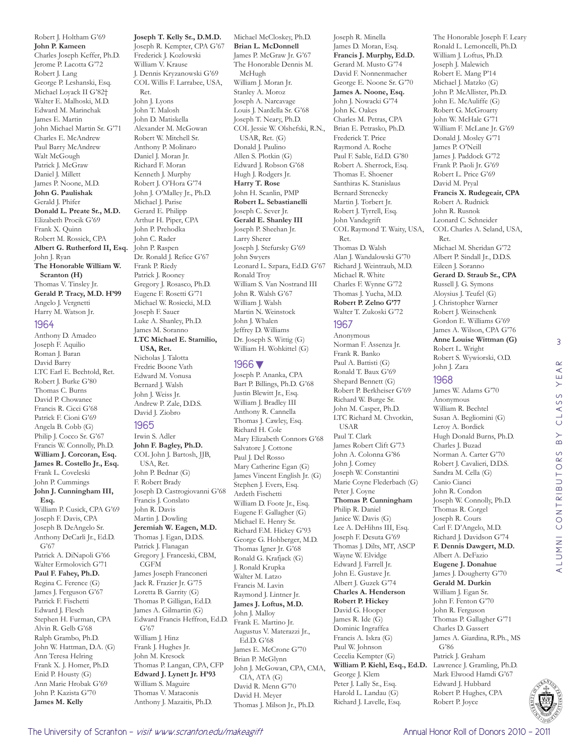Robert J. Holtham G'69 **John P. Kameen**  Charles Joseph Keffer, Ph.D. Jerome P. Lacotta G'72 Robert J. Lang George P. Leshanski, Esq. Michael Loyack II G'82† Walter E. Malhoski, M.D. Edward M. Marinchak James E. Martin John Michael Martin Sr. G'71 Charles E. McAndrew Paul Barry McAndrew Walt McGough Patrick J. McGraw Daniel J. Millett James P. Noone, M.D. **John G. Paulishak**  Gerald J. Phifer **Donald L. Preate Sr., M.D.**  Elizabeth Procik G'69 Frank X. Quinn Robert M. Rossick, CPA **Albert G. Rutherford II, Esq.**  John J. Ryan **The Honorable William W. Scranton (H)** Thomas V. Tinsley Jr. **Gerald P. Tracy, M.D. H'99** Angelo J. Vergnetti Harry M. Watson Jr. 1964

Anthony D. Amadeo Joseph F. Aquilio Roman J. Baran David Barry LTC Earl E. Bechtold, Ret. Robert J. Burke G'80 Thomas C. Burns David P. Chowanec Francis R. Cicci G'68 Patrick F. Cioni G'69 Angela B. Cobb (G) Philip J. Cocco Sr. G'67 Francis W. Connolly, Ph.D. **William J. Corcoran, Esq. James R. Costello Jr., Esq.**  Frank L. Coveleski John P. Cummings **John J. Cunningham III, Esq.**  William P. Cusick, CPA G'69 Joseph F. Davis, CPA Joseph B. DeAngelo Sr. Anthony DeCarli Jr., Ed.D. G'67 Patrick A. DiNapoli G'66 Walter Ermolovich G'71 **Paul F. Fahey, Ph.D.**  Regina C. Ference (G) James J. Ferguson G'67 Patrick F. Fischetti Edward J. Flesch Stephen H. Furman, CPA Alvin R. Gelb G'68 Ralph Grambo, Ph.D. John W. Hattman, D.A. (G) Ann Teresa Helring Frank X. J. Homer, Ph.D. Enid P. Housty (G) Ann Marie Hrobak G'69 John P. Kazista G'70 **James M. Kelly** 

**Joseph T. Kelly Sr., D.M.D.**  Joseph R. Kempter, CPA G'67 Frederick J. Kozlowski William V. Krause J. Dennis Kryzanowski G'69 COL Willis F. Larrabee, USA, Ret. John J. Lyons John T. Malosh John D. Matiskella Alexander M. McGowan Robert W. Mitchell Sr. Anthony P. Molinaro Daniel J. Moran Jr. Richard F. Moran Kenneth J. Murphy Robert J. O'Hora G'74 John J. O'Malley Jr., Ph.D. Michael J. Parise Gerard E. Philipp Arthur H. Piper, CPA John P. Prehodka John C. Rader John P. Raspen Dr. Ronald J. Refice G'67 Frank P. Riedy Patrick J. Rooney Gregory J. Rosasco, Ph.D. Eugene F. Rosetti G'71 Michael W. Rosiecki, M.D. Joseph F. Sauer Luke A. Shanley, Ph.D. James M. Soranno **LTC Michael E. Stamilio, USA, Ret.** 

Nicholas J. Talotta Fredric Boone Vath Edward M. Vonusa Bernard J. Walsh John J. Weiss Jr. Andrew P. Zale, D.D.S. David J. Ziobro

#### 1965

Irwin S. Adler **John F. Bagley, Ph.D.**  COL John J. Bartosh, JJB, USA, Ret. John P. Bednar (G) F. Robert Brady Joseph D. Castrogiovanni G'68 Francis J. Conslato John R. Davis Martin J. Dowling **Jeremiah W. Eagen, M.D.**  Thomas J. Egan, D.D.S. Patrick J. Flanagan Gregory J. Franceski, CBM, CGFM James Joseph Franconeri Jack R. Frazier Jr. G'75 Loretta B. Garrity (G) Thomas P. Gilligan, Ed.D. James A. Gilmartin (G) Edward Francis Heffron, Ed.D. G'67 William J. Hinz Frank J. Hughes Jr. John M. Kresock Thomas P. Langan, CPA, CFP **Edward J. Lynett Jr. H'93** William S. Maguire Thomas V. Mataconis Anthony J. Mazaitis, Ph.D.

Michael McCloskey, Ph.D. **Brian L. McDonnell**  James P. McGraw Jr. G'67 The Honorable Dennis M. McHugh William J. Moran Jr. Stanley A. Moroz Joseph A. Narcavage Louis J. Nardella Sr. G'68 Joseph T. Neary, Ph.D. COL Jessie W. Olshefski, R.N., USAR, Ret. (G) Donald J. Paulino Allen S. Plotkin (G) Edward J. Robson G'68 Hugh J. Rodgers Jr. **Harry T. Rose**  John H. Scanlin, PMP **Robert L. Sebastianelli**  Joseph C. Sever Jr. **Gerald E. Shanley III**  Joseph P. Sheehan Jr. Larry Sherer Joseph J. Stefursky G'69 John Swyers Leonard L. Szpara, Ed.D. G'67 Ronald Troy William S. Van Nostrand III John R. Walsh G'67 William J. Walsh Martin N. Weinstock John J. Whalen Jeffrey D. Williams Dr. Joseph S. Wittig (G) William H. Wohkittel (G)

#### 1966▼

Joseph P. Ananka, CPA Bart P. Billings, Ph.D. G'68 Justin Blewitt Jr., Esq. William J. Bradley III Anthony R. Cannella Thomas J. Cawley, Esq. Richard H. Cole Mary Elizabeth Connors G'68 Salvatore J. Cottone Paul I. Del Rosso Mary Catherine Egan (G) James Vincent English Jr. (G) Stephen J. Evers, Esq. Ardeth Fischetti William D. Foote Jr., Esq. Eugene F. Gallagher (G) Michael E. Henry Sr. Richard F.M. Hickey G'93 George G. Hohberger, M.D. Thomas Igner Jr. G'68 Ronald G. Krafjack (G) J. Ronald Krupka Walter M. Latzo Francis M. Lavin Raymond J. Lintner Jr. **James J. Loftus, M.D.**  John J. Malloy Frank E. Martino Jr. Augustus V. Materazzi Jr., Ed.D. G'68 James E. McCrone G'70 Brian P. McGlynn John J. McGowan, CPA, CMA, CIA, ATA (G) David R. Menn G'70 David H. Meyer Thomas J. Milson Jr., Ph.D.

Joseph R. Minella James D. Moran, Esq. **Francis J. Murphy, Ed.D.**  Gerard M. Musto G'74 David F. Nonnenmacher George E. Noone Sr. G'70 **James A. Noone, Esq.**  John J. Nowacki G'74 John K. Oakes Charles M. Petras, CPA Brian E. Petrasko, Ph.D. Frederick T. Price Raymond A. Roche Paul F. Sable, Ed.D. G'80 Robert A. Sherrock, Esq. Thomas E. Shoener Santhiras K. Stanislaus Bernard Strenecky Martin J. Torbert Jr. Robert J. Tyrrell, Esq. John Vandegrift COL Raymond T. Waity, USA, Ret. Thomas D. Walsh Alan J. Wandalowski G'70 Richard J. Weintraub, M.D. Michael R. White Charles F. Wynne G'72 Thomas J. Yucha, M.D. **Robert P. Zelno G'77** Walter T. Zukoski G'72

#### 1967

Anonymous Norman F. Assenza Jr. Frank R. Banko Paul A. Battisti (G) Ronald T. Baux G'69 Shepard Bennett (G) Robert P. Berkheiser G'69 Richard W. Burge Sr. John M. Casper, Ph.D. LTC Richard M. Chvotkin, USAR Paul T. Clark James Robert Clift G'73 John A. Colonna G'86 John J. Comey Joseph W. Constantini Marie Coyne Flederbach (G) Peter J. Coyne **Thomas P. Cunningham**  Philip R. Daniel Janice W. Davis (G) Lee A. DeHihns III, Esq. Joseph F. Desuta G'69 Thomas J. Dilts, MT, ASCP Wayne W. Elvidge Edward J. Farrell Jr. John E. Gustave Jr. Albert J. Guzek G'74 **Charles A. Henderson Robert P. Hickey**  David G. Hooper James R. Ide (G) Dominic Ingraffea Francis A. Iskra (G) Paul W. Johnson Cecelia Kempter (G) **William P. Kiehl, Esq., Ed.D.**  George J. Klem Peter J. Lally Sr., Esq. Harold L. Landau (G) Richard J. Lavelle, Esq.

The Honorable Joseph F. Leary Ronald L. Lemoncelli, Ph.D. William J. Loftus, Ph.D. Joseph J. Malewich Robert E. Mang P'14 Michael J. Matzko (G) John P. McAllister, Ph.D. John E. McAuliffe (G) Robert G. McGroarty John W. McHale G'71 William F. McLane Jr. G'69 Donald J. Mosley G'71 James P. O'Neill James J. Paddock G'72 Frank P. Paoli Jr. G'69 Robert L. Price G'69 David M. Pryal **Francis X. Rudegeair, CPA**  Robert A. Rudnick John R. Rusnok Leonard C. Schneider COL Charles A. Seland, USA, Ret. Michael M. Sheridan G'72 Albert P. Sindall Jr., D.D.S. Eileen J. Soranno **Gerard D. Straub Sr., CPA**  Russell J. G. Symons Aloysius J. Teufel (G) J. Christopher Warner Robert J. Weinschenk Gordon E. Williams G'69 James A. Wilson, CPA G'76 **Anne Louise Wittman (G)** Robert L. Wright Robert S. Wywiorski, O.D. John J. Zara 1968 James W. Adams G'70 Anonymous William R. Bechtel Susan A. Begliomini (G) Leroy A. Bordick Hugh Donald Burns, Ph.D. Charles J. Buzad Norman A. Carter G'70 Robert J. Cavalieri, D.D.S. Sandra M. Cella (G) Canio Cianci John R. Condon Joseph W. Connolly, Ph.D. Thomas R. Corgel Joseph R. Cours Carl F. D'Angelo, M.D. Richard J. Davidson G'74 **F. Dennis Dawgert, M.D.**  Albert A. DeFazio **Eugene J. Donahue**  James J. Dougherty G'70 **Gerald M. Durkin**  William J. Egan Sr. John F. Fenton G'70 John R. Ferguson Thomas P. Gallagher G'71

3

 $\alpha$  $\prec$ YE,

CLASS

 $\overline{B}$ 

ALUMNI CONTRIBUTORS BY CLASS YEAR

ALUMNI CONTRIBUTORS



Charles D. Gassert James A. Giardina, R.Ph., MS

G'86 Patrick J. Graham Lawrence J. Gramling, Ph.D. Mark Elwood Hamdi G'67 Edward J. Hubbard Robert P. Hughes, CPA Robert P. Joyce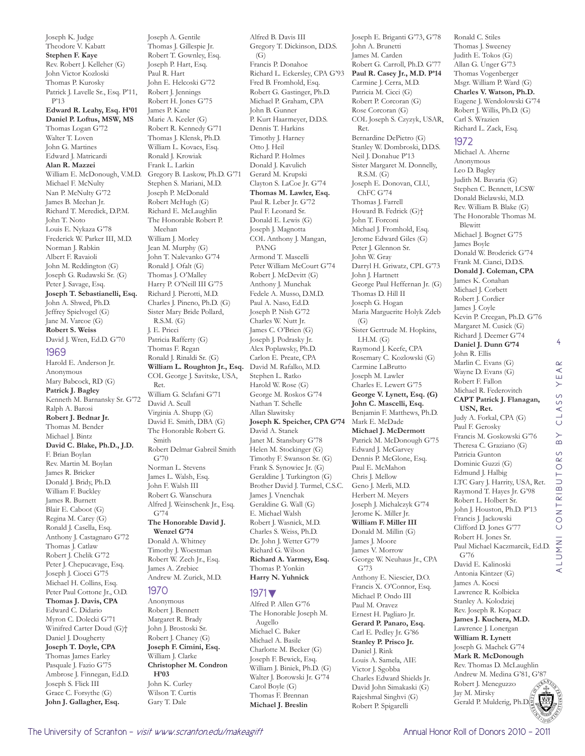Joseph K. Judge Theodore V. Kabatt **Stephen F. Kaye**  Rev. Robert J. Kelleher (G) John Victor Kozloski Thomas P. Kurosky Patrick J. Lavelle Sr., Esq. P'11, P'13 **Edward R. Leahy, Esq. H'01 Daniel P. Loftus, MSW, MS**  Thomas Logan G'72 Walter T. Loven John G. Martines Edward J. Matricardi **Alan R. Mazzei**  William E. McDonough, V.M.D. Michael F. McNulty Nan P. McNulty G'72 James B. Meehan Jr. Richard T. Meredick, D.P.M. John T. Noto Louis E. Nykaza G'78 Frederick W. Parker III, M.D. Norman J. Rabkin Albert F. Ravaioli John M. Reddington (G) Joseph G. Rudawski Sr. (G) Peter J. Savage, Esq. **Joseph T. Sebastianelli, Esq.**  John A. Shwed, Ph.D. Jeffrey Spielvogel (G) Jane M. Varcoe (G) **Robert S. Weiss**  David J. Wren, Ed.D. G'70 1969 Harold E. Anderson Jr.

Anonymous Mary Babcock, RD (G) **Patrick J. Bagley**  Kenneth M. Barnansky Sr. G'72 Ralph A. Barosi **Robert J. Bednar Jr.**  Thomas M. Bender Michael J. Bintz **David C. Blake, Ph.D., J.D.**  F. Brian Boylan Rev. Martin M. Boylan James R. Bricker Donald J. Bridy, Ph.D. William F. Buckley James R. Burnett Blair E. Caboot (G) Regina M. Carey (G) Ronald J. Casella, Esq. Anthony J. Castagnaro G'72 Thomas J. Catlaw Robert J. Chelik G'72 Peter J. Chepucavage, Esq. Joseph J. Ciocci G'75 Michael H. Collins, Esq. Peter Paul Cottone Jr., O.D. **Thomas J. Davis, CPA**  Edward C. Didario Myron C. Dolecki G'71 Winifred Carter Doud (G)† Daniel J. Dougherty **Joseph T. Doyle, CPA**  Thomas James Earley Pasquale J. Fazio G'75 Ambrose J. Finnegan, Ed.D. Joseph S. Flick III Grace C. Forsythe (G) **John J. Gallagher, Esq.** 

Joseph A. Gentile Thomas J. Gillespie Jr. Robert T. Gownley, Esq. Joseph P. Hart, Esq. Paul R. Hart John E. Helcoski G'72 Robert J. Jennings Robert H. Jones G'75 James P. Kane Marie A. Keeler (G) Robert R. Kennedy G'71 Thomas J. Klensk, Ph.D. William L. Kovacs, Esq. Ronald J. Krowiak Frank L. Larkin Gregory B. Laskow, Ph.D. G'71 Stephen S. Mariani, M.D. Joseph P. McDonald Robert McHugh (G) Richard E. McLaughlin The Honorable Robert P. Meehan William J. Morley Jean M. Murphy (G) John T. Nalevanko G'74 Ronald J. Ofalt (G) Thomas I. O'Malley Harry P. O'Neill III G'75 Richard J. Pierotti, M.D. Charles J. Pineno, Ph.D. (G) Sister Mary Bride Pollard, R.S.M. (G) J. E. Pricci Patricia Rafferty (G) Thomas F. Regan Ronald J. Rinaldi Sr. (G) **William L. Roughton Jr., Esq.**  COL George J. Savitske, USA, Ret. William G. Sclafani G'71 David A. Scull Virginia A. Shupp (G) David E. Smith, DBA (G) The Honorable Robert G. Smith Robert Delmar Gabreil Smith G'70 Norman L. Stevens James L. Walsh, Esq. John F. Walsh III Robert G. Wanschura Alfred J. Weinschenk Jr., Esq. G'74 **The Honorable David J. Wenzel G'74** Donald A. Whitney Timothy J. Woestman Robert W. Zech Jr., Esq. James A. Zrebiec Andrew M. Zurick, M.D. 1970 Anonymous

Robert J. Bennett Margaret R. Brady John J. Brostoski Sr. Robert J. Chaney (G) **Joseph F. Cimini, Esq.**  William J. Clarke **Christopher M. Condron H'03** John K. Curley Wilson T. Curtis Gary T. Dale

Alfred B. Davis III Gregory T. Dickinson, D.D.S.  $(G)$ Francis P. Donahoe Richard L. Eckersley, CPA G'93 Fred B. Fromhold, Esq. Robert G. Gastinger, Ph.D. Michael P. Graham, CPA John B. Gunner P. Kurt Haarmeyer, D.D.S. Dennis T. Harkins Timothy J. Harney Otto J. Heil Richard P. Holmes Donald J. Kavulich Gerard M. Krupski Clayton S. LaCoe Jr. G'74 **Thomas M. Lawler, Esq.**  Paul R. Leber Jr. G'72 Paul F. Leonard Sr. Donald E. Lewis (G) Joseph J. Magnotta COL Anthony J. Mangan, PANG Armond T. Mascelli Peter William McCourt G'74 Robert J. McDevitt (G) Anthony J. Munchak Fedele A. Musso, D.M.D. Paul A. Naso, Ed.D. Joseph P. Nish G'72 Charles W. Nutt Jr. James C. O'Brien (G) Joseph J. Podrasky Jr. Alex Poplawsky, Ph.D. Carlon E. Preate, CPA David M. Rafalko, M.D. Stephen L. Ratko Harold W. Rose (G) George M. Roskos G'74 Nathan T. Schelle Allan Slawitsky **Joseph K. Speicher, CPA G'74** David A. Stanek Janet M. Stansbury G'78 Helen M. Stockinger (G) Timothy F. Swanson Sr. (G) Frank S. Synowiec Jr. (G) Geraldine J. Turkington (G) Brother David J. Turmel, C.S.C. James J. Vnenchak Geraldine G. Wall (G) E. Michael Walsh Robert J. Wasnick, M.D. Charles S. Weiss, Ph.D. Dr. John J. Wetter G'79 Richard G. Wilson **Richard A. Yarmey, Esq.**  Thomas P. Yonkin **Harry N. Yuhnick**  1971▼

#### Alfred P. Allen G'76 The Honorable Joseph M. Augello Michael C. Baker Michael A. Basile Charlotte M. Becker (G) Joseph F. Bewick, Esq. William J. Biniek, Ph.D. (G) Walter J. Borowski Jr. G'74 Carol Boyle (G) Thomas F. Brennan **Michael J. Breslin**

Joseph E. Briganti G'73, G'78 John A. Brunetti James M. Carden Robert G. Carroll, Ph.D. G'77 **Paul R. Casey Jr., M.D. P'14** Carmine J. Cerra, M.D. Patricia M. Cicci (G) Robert P. Corcoran (G) Rose Corcoran (G) COL Joseph S. Czyzyk, USAR, Ret. Bernardine DePietro (G) Stanley W. Dombroski, D.D.S. Neil J. Donahue P'13 Sister Margaret M. Donnelly, R.S.M. (G) Joseph E. Donovan, CLU, ChFC G'74 Thomas J. Farrell Howard B. Fedrick (G)† John T. Forconi Michael J. Fromhold, Esq. Jerome Edward Giles (G) Peter J. Glennon Sr. John W. Gray Darryl H. Griwatz, CPL G'73 John J. Hartnett George Paul Heffernan Jr. (G) Thomas D. Hill II Joseph G. Hogan Maria Marguerite Holyk Zdeb (G) Sister Gertrude M. Hopkins, I.H.M. (G) Raymond J. Keefe, CPA Rosemary C. Kozlowski (G) Carmine LaBrutto Joseph M. Lawler Charles E. Lewert G'75 **George V. Lynett, Esq. (G) John C. Mascelli, Esq.**  Benjamin F. Matthews, Ph.D. Mark E. McDade **Michael J. McDermott**  Patrick M. McDonough G'75 Edward J. McGarvey Dennis P. McGlone, Esq. Paul E. McMahon Chris J. Mellow Geno J. Merli, M.D. Herbert M. Meyers Joseph J. Michalczyk G'74 Jerome K. Miller Jr. **William F. Miller III**  Donald M. Millin (G) James J. Moore James V. Morrow George W. Neuhaus Jr., CPA G'73 Anthony E. Niescier, D.O. Francis X. O'Connor, Esq. Michael P. Ondo III Paul M. Oravez Ernest H. Pagliaro Jr. **Gerard P. Panaro, Esq.**  Carl E. Pedley Jr. G'86 **Stanley P. Prisco Jr.**  Daniel J. Rink Louis A. Samela, AIE Victor J. Sgobba Charles Edward Shields Jr. David John Simakaski (G) Rajeshmal Singhvi (G) Robert P. Spigarelli

Ronald C. Stiles Thomas J. Sweeney Judith E. Tokos (G) Allan G. Unger G'73 Thomas Vogenberger Msgr. William P. Ward (G) **Charles V. Watson, Ph.D.**  Eugene J. Wendolowski G'74 Robert J. Willis, Ph.D. (G) Carl S. Wrazien Richard L. Zack, Esq.

#### 1972

Michael A. Aherne Anonymous Leo D. Bagley Judith M. Bavaria (G) Stephen C. Bennett, LCSW Donald Bielawski, M.D. Rev. William B. Blake (G) The Honorable Thomas M. **Blewitt** Michael J. Bognet G'75 James Boyle Donald W. Broderick G'74 Frank M. Cianci, D.D.S. **Donald J. Coleman, CPA**  James K. Conahan Michael J. Corbett Robert J. Cordier James J. Coyle Kevin P. Creegan, Ph.D. G'76 Margaret M. Cusick (G) Richard J. Deemer G'74 **Daniel J. Dunn G'74** John R. Ellis Marlin C. Evans (G) Wayne D. Evans (G) Robert F. Fallon Michael R. Federovitch **CAPT Patrick J. Flanagan, USN, Ret.**  Judy A. Forkal, CPA (G) Paul F. Gerosky Francis M. Goskowski G'76 Theresa C. Graziano (G) Patricia Gunton Dominic Guzzi (G) Edmund J. Halbig LTC Gary J. Harrity, USA, Ret. Raymond T. Hayes Jr. G'98 Robert L. Holbert Sr. John J. Houston, Ph.D. P'13 Francis J. Jackowski Clifford D. Jones G'77 Robert H. Jones Sr. Paul Michael Kaczmarcik, Ed.D. G'76 David E. Kalinoski Antonia Kintzer (G) James A. Kocsi Lawrence R. Kolbicka Stanley A. Kolodziej Rev. Joseph R. Kopacz **James J. Kuchera, M.D.**  Lawrence J. Lonergan **William R. Lynett**  Joseph G. Machek G'74 **Mark R. McDonough**  Rev. Thomas D. McLaughlin Andrew M. Medina G'81, G'87<br>Robert J. Meneguzzo Robert J. Meneguzzo

4



Jay M. Mirsky

Gerald P. Mulderig, Ph.D.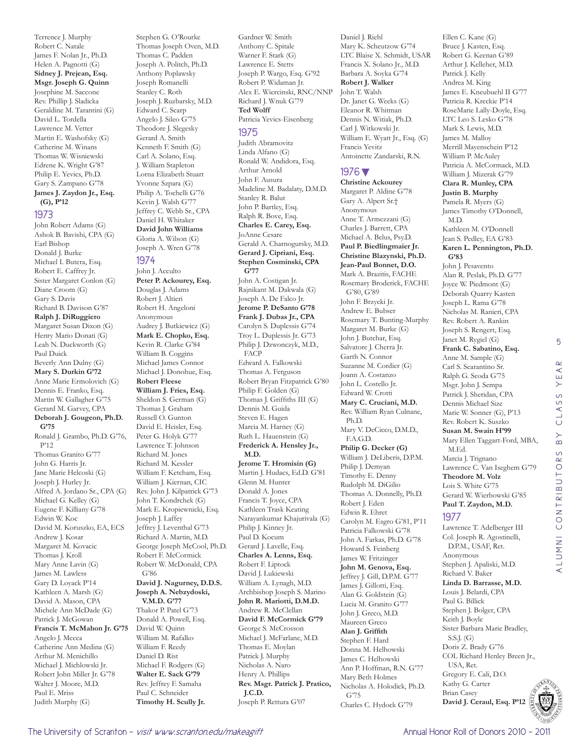Terrence J. Murphy Robert C. Natale James F. Nolan Jr., Ph.D. Helen A. Pagnotti (G) **Sidney J. Prejean, Esq. Msgr. Joseph G. Quinn**  Josephine M. Saccone Rev. Phillip J. Sladicka Geraldine M. Tarantini (G) David L. Tordella Lawrence M. Vetter Martin E. Washofsky (G) Catherine M. Winans Thomas W. Wisniewski Edrene K. Wright G'87 Philip E. Yevics, Ph.D. Gary S. Zampano G'78 **James J. Zaydon Jr., Esq. (G), P'12**

#### 1973 John Robert Adams (G)

Ashok B. Bavishi, CPA (G) Earl Bishop Donald J. Burke Michael I. Butera, Esq. Robert E. Caffrey Jr. Sister Margaret Conlon (G) Diane Croom (G) Gary S. Davis Richard B. Davison G'87 **Ralph J. DiRuggiero**  Margaret Susan Dixon (G) Henry Mario Donati (G) Leah N. Duckworth (G) Paul Duick Beverly Ann Dulny (G) **Mary S. Durkin G'72** Anne Marie Ermolovich (G) Dennis E. Franko, Esq. Martin W. Gallagher G'75 Gerard M. Garvey, CPA **Deborah J. Gougeon, Ph.D. G'75** Ronald J. Grambo, Ph.D. G'76, P'12 Thomas Granito G'77 John G. Harris Jr. Jane Marie Helcoski (G) Joseph J. Hurley Jr. Alfred A. Jordano Sr., CPA (G) Michael G. Kelley (G) Eugene F. Killiany G'78 Edwin W. Koc David M. Koruszko, EA, ECS Andrew J. Kosar Margaret M. Kovacic Thomas J. Kroll Mary Anne Lavin (G) James M. Lawless Gary D. Loyack P'14 Kathleen A. Marsh (G) David A. Mason, CPA Michele Ann McDade (G) Patrick J. McGowan **Francis T. McMahon Jr. G'75** Angelo J. Mecca Catherine Ann Medina (G) Arthur M. Menichillo Michael J. Michlowski Jr. Robert John Miller Jr. G'78 Walter J. Moore, M.D. Paul E. Mriss Judith Murphy (G)

Stephen G. O'Rourke Thomas Joseph Oven, M.D. Thomas C. Padden Joseph A. Politch, Ph.D. Anthony Poplawsky Joseph Romanelli Stanley C. Roth Joseph J. Ruzbarsky, M.D. Edward C. Scarp Angelo J. Sileo G'75 Theodore J. Slegesky Gerard A. Smith Kenneth F. Smith (G) Carl A. Solano, Esq. J. William Stapleton Lorna Elizabeth Stuart Yvonne Szpara (G) Philip A. Tochelli G'76 Kevin J. Walsh G'77 Jeffrey C. Webb Sr., CPA Daniel H. Whitaker **David John Williams**  Gloria A. Wilson (G) Joseph A. Wren G'78

#### 1974

John J. Acculto **Peter P. Ackourey, Esq.**  Douglas J. Adams Robert J. Altieri Robert H. Angeloni Anonymous Audrey J. Butkiewicz (G) **Mark E. Chopko, Esq.**  Kevin R. Clarke G'84 William B. Coggins Michael James Connor Michael J. Donohue, Esq. **Robert Fleese William J. Fries, Esq.**  Sheldon S. German (G) Thomas J. Graham Russell O. Gunton David E. Heisler, Esq. Peter G. Holyk G'77 Lawrence T. Johnson Richard M. Jones Richard M. Kessler William F. Ketcham, Esq. William J. Kiernan, CIC Rev. John J. Kilpatrick G'73 John T. Kondrchek (G) Mark E. Kropiewnicki, Esq. Joseph J. Laffey Jeffrey J. Leventhal G'73 Richard A. Martin, M.D. George Joseph McCool, Ph.D. Robert F. McCormick Robert W. McDonald, CPA G'86 **David J. Nagurney, D.D.S. Joseph A. Nebzydoski, V.M.D. G'77** Thakor P. Patel G'73 Donald A. Powell, Esq. David W. Quinn William M. Rafalko William F. Reedy Daniel D. Rist Michael F. Rodgers (G) **Walter E. Sack G'79** Rev. Jeffrey F. Samaha

Gardner W. Smith Anthony C. Spitale Warner F. Stark (G) Lawrence E. Stetts Joseph P. Wargo, Esq. G'92 Robert P. Widaman Jr. Alex E. Wiercinski, RNC/NNP Richard J. Wnuk G'79 **Ted Wolff**  Patricia Yevics-Eisenberg

#### 1975

Judith Abramovitz Linda Alfano (G) Ronald W. Andidora, Esq. Arthur Arnold John F. Ausura Madeline M. Badalaty, D.M.D. Stanley R. Balut John P. Bartley, Esq. Ralph R. Bove, Esq. **Charles E. Carey, Esq.**  JoAnne Cesare Gerald A. Charnogursky, M.D. **Gerard J. Cipriani, Esq. Stephen Cosminski, CPA G'77** John A. Costigan Jr. Rajnikant M. Dakwala (G) Joseph A. De Falco Jr. **Jerome P. DeSanto G'78 Frank J. Dubas Jr., CPA**  Carolyn S. Duplessis G'74 Troy L. Duplessis Jr. G'73 Philip J. Dzwonczyk, M.D., FACP Edward A. Falkowski Thomas A. Ferguson Robert Bryan Fitzpatrick G'80 Philip F. Golden (G) Thomas J. Griffiths III (G) Dennis M. Guida Steven E. Hagen Marcia M. Harney (G) Ruth L. Hauenstein (G) **Frederick A. Hensley Jr., M.D. Jerome T. Hromisin (G)** Martin J. Hudacs, Ed.D. G'81 Glenn M. Hunter Donald A. Jones Francis T. Joyce, CPA Kathleen Trask Keating

Narayankumar Khajurivala (G) Philip J. Kinney Jr. Paul D. Kocum Gerard J. Lavelle, Esq. **Charles A. Lenns, Esq.**  Robert F. Liptock David J. Lukiewski William A. Lynagh, M.D. Archbishop Joseph S. Marino **John R. Mariotti, D.M.D.**  Andrew R. McClellan **David F. McCormick G'79** George S. McCrosson Michael J. McFarlane, M.D. Thomas E. Moylan Patrick J. Murphy Nicholas A. Naro Henry A. Phillips **Rev. Msgr. Patrick J. Pratico, J.C.D.**  Joseph P. Rettura G'07

Daniel J. Riehl Mary K. Scheutzow G'74 LTC Blaise X. Schmidt, USAR Francis X. Solano Jr., M.D. Barbara A. Soyka G'74 **Robert J. Walker**  John T. Walsh Dr. Janet G. Weeks (G) Eleanor R. Whitman Dennis N. Witiak, Ph.D. Carl J. Witkowski Jr. William E. Wyatt Jr., Esq. (G) Francis Yevitz Antoinette Zandarski, R.N.

#### 1976▼

**Christine Ackourey**  Margaret P. Aldine G'78 Gary A. Alpert Sr.† Anonymous Anne T. Armezzani (G) Charles J. Barrett, CPA Michael A. Belus, Psy.D. **Paul P. Biedlingmaier Jr. Christine Blazynski, Ph.D. Jean-Paul Bonnet, D.O.**  Mark A. Brazitis, FACHE Rosemary Broderick, FACHE G'80, G'89 John F. Brzycki Jr. Andrew E. Bubser Rosemary T. Bunting-Murphy Margaret M. Burke (G) John J. Butchar, Esq. Salvatore J. Cherra Jr. Garth N. Connor Suzanne M. Cordier (G) Joann A. Costanzo John L. Costello Jr. Edward W. Crotti **Mary C. Cruciani, M.D.**  Rev. William Ryan Culnane, Ph.D. Mary V. DeCicco, D.M.D., F.A.G.D. **Philip G. Decker (G)** William J. DeLiberis, D.P.M. Philip J. Demyan Timothy E. Denny Rudolph M. DiGilio Thomas A. Donnelly, Ph.D. Robert J. Eden Edwin R. Ehret Carolyn M. Esgro G'81, P'11 Patricia Falkowski G'78 John A. Farkas, Ph.D. G'78 Howard S. Feinberg James W. Fritzinger **John M. Genova, Esq.**  Jeffrey J. Gill, D.P.M. G'77 James J. Gillotti, Esq. Alan G. Goldstein (G) Lucia M. Granito G'77 John J. Greco, M.D. Maureen Greco **Alan J. Griffith**  Stephen F. Hard Donna M. Helhowski James C. Helhowski Ann P. Hoffman, R.N. G'77 Mary Beth Holmes Nicholas A. Holodick, Ph.D. G'75 Charles C. Hydock G'79

Ellen C. Kane (G) Bruce J. Kasten, Esq. Robert G. Keenan G'89 Arthur J. Kelleher, M.D. Patrick J. Kelly Andrea M. King James E. Kneubuehl II G'77 Patricia R. Kreckie P'14 RoseMarie Lally-Doyle, Esq. LTC Leo S. Lesko G'78 Mark S. Lewis, M.D. James M. Malloy Merrill Mayenschein P'12 William P. McAuley Patricia A. McCormack, M.D. William J. Mizerak G'79 **Clara R. Munley, CPA Justin B. Murphy**  Pamela R. Myers (G) James Timothy O'Donnell, M.D. Kathleen M. O'Donnell Jean S. Pedley, EA G'83 **Karen L. Pennington, Ph.D. G'83** John J. Pesavento Alan R. Peslak, Ph.D. G'77 Joyce W. Piedmont (G) Deborah Quarry Kasten Joseph L. Rama G'78 Nicholas M. Ranieri, CPA Rev. Robert A. Rankin Joseph S. Rengert, Esq. Janet M. Rygiel (G) **Frank C. Sabatino, Esq.**  Anne M. Sample (G) Carl S. Scarantino Sr. Ralph G. Scoda G'75 Msgr. John J. Sempa Patrick J. Sheridan, CPA Dennis Michael Size Marie W. Sonner (G), P'13 Rev. Robert K. Suszko **Susan M. Swain H'99** Mary Ellen Taggart-Ford, MBA, M.Ed. Marcia J. Trignano Lawrence C. Van Iseghem G'79 **Theodore M. Volz**  Lois S. White G'75 Gerard W. Wierbowski G'85 **Paul T. Zaydon, M.D.**  1977 Lawrence T. Adelberger III Col. Joseph R. Agostinelli, D.P.M., USAF, Ret. Anonymous Stephen J. Apaliski, M.D. Richard V. Baker **Linda D. Barrasse, M.D.**  Louis J. Belardi, CPA

5



Paul C. Schneider **Timothy H. Scully Jr.**  Paul G. Billick Stephen J. Bolger, CPA Keith J. Boyle

S.S.J. (G) Doris Z. Brady G'76 COL Richard Henley Breen Jr.,

USA, Ret. Gregory E. Cali, D.O. Kathy G. Carter Brian Casey

Sister Barbara Marie Bradley,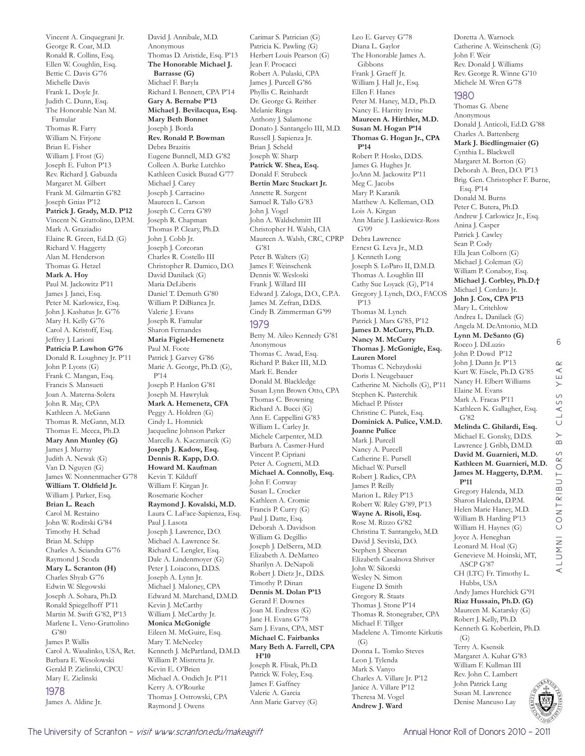Vincent A. Cinquegrani Jr. George R. Coar, M.D. Ronald R. Collins, Esq. Ellen W. Coughlin, Esq. Bettie C. Davis G'76 Michelle Davis Frank L. Doyle Jr. Judith C. Dunn, Esq. The Honorable Nan M. Famular Thomas R. Farry William N. Firjone Brian E. Fisher William J. Frost (G) Joseph E. Fulton P'13 Rev. Richard J. Gabuzda Margaret M. Gilbert Frank M. Gilmartin G'82 Joseph Gnias P'12 **Patrick J. Grady, M.D. P'12** Vincent N. Grattolino, D.P.M. Mark A. Graziadio Elaine R. Green, Ed.D. (G) Richard V. Haggerty Alan M. Henderson Thomas G. Hetzel **Mark A. Hoy**  Paul M. Jackowitz P'11 James J. Janci, Esq. Peter M. Karlowicz, Esq. John J. Kashatus Jr. G'76 Mary H. Kelly G'76 Carol A. Kristoff, Esq. Jeffrey J. Larioni **Patricia P. Lawhon G'76** Donald R. Loughney Jr. P'11 John P. Lyons (G) Frank C. Mangan, Esq. Francis S. Mansueti Joan A. Materna-Solera John R. May, CPA Kathleen A. McGann Thomas R. McGann, M.D. Thomas E. Mecca, Ph.D. **Mary Ann Munley (G)** James J. Murray Judith A. Newak (G) Van D. Nguyen (G) James W. Nonnenmacher G'78 **William T. Oldfield Jr.**  William J. Parker, Esq. **Brian L. Reach**  Carol M. Restaino John W. Roditski G'84 Timothy H. Schad Brian M. Schipp Charles A. Sciandra G'76 Raymond J. Scoda **Mary L. Scranton (H)** Charles Shyab G'76 Edwin W. Slegowski Joseph A. Sohara, Ph.D. Ronald Spiegelhoff P'11 Martin M. Swift G'82, P'13 Marlene L. Veno-Grattolino G'80 James P. Wallis Carol A. Wasalinko, USA, Ret. Barbara E. Wesolowski Gerald P. Zielinski, CPCU Mary E. Zielinski 1978 James A. Aldine Jr.

David J. Annibale, M.D. Anonymous Thomas D. Aristide, Esq. P'13 **The Honorable Michael J. Barrasse (G)** Michael F. Baryla Richard I. Bennett, CPA P'14 **Gary A. Bernabe P'13 Michael J. Bevilacqua, Esq. Mary Beth Bonnet**  Joseph J. Borda **Rev. Ronald P. Bowman**  Debra Brazitis Eugene Bunnell, M.D. G'82 Colleen A. Burke Lutchko Kathleen Cusick Buzad G'77 Michael J. Carey Joseph J. Carracino Maureen L. Carson Joseph C. Cerra G'89 Joseph R. Chapman Thomas P. Cleary, Ph.D. John J. Cobb Jr. Joseph J. Corcoran Charles R. Costello III Christopher R. Damico, D.O. David Danilack (G) Maria DeLiberis Daniel T. Demuth G'80 William P. DiBianca Jr. Valerie J. Evans Joseph R. Famular Sharon Fernandes **Maria Figiel-Hemenetz**  Paul M. Foote Patrick J. Garvey G'86 Marie A. George, Ph.D. (G), P'14 Joseph P. Hanlon G'81 Joseph M. Hawryluk **Mark A. Hemenetz, CFA**  Peggy A. Holdren (G) Cindy L. Homnick Jacqueline Johnson Parker Marcella A. Kaczmarcik (G) **Joseph J. Kadow, Esq. Dennis R. Kapp, D.O. Howard M. Kaufman**  Kevin T. Kilduff William F. Kirgan Jr. Rosemarie Kocher **Raymond J. Kovalski, M.D.**  Laura C. LaFace-Sapienza, Esq. Paul J. Lasota Joseph J. Lawrence, D.O. Michael A. Lawrence Sr. Richard C. Lengler, Esq. Dale A. Lindenmoyer (G) Peter J. Loiacono, D.D.S. Joseph A. Lynn Jr. Michael J. Maloney, CPA Edward M. Marchand, D.M.D. Kevin J. McCarthy William J. McCarthy Jr. **Monica McGonigle**  Eileen M. McGuire, Esq. Mary T. McNeeley Kenneth J. McPartland, D.M.D. William P. Mistretta Jr. Kevin E. O'Brien Michael A. Ondich Jr. P'11 Kerry A. O'Rourke Thomas J. Ostrowski, CPA Raymond J. Owens

Carimar S. Patrician (G) Patricia K. Pawling (G) Herbert Louis Pearson (G) Jean F. Procacci Robert A. Pulaski, CPA James J. Purcell G'86 Phyllis C. Reinhardt Dr. George G. Reither Melanie Ringa Anthony J. Salamone Donato J. Santangelo III, M.D. Russell J. Sapienza Jr. Brian J. Scheld Joseph W. Sharp **Patrick W. Shea, Esq.**  Donald F. Strubeck **Bertin Marc Stuckart Jr.**  Annette R. Surgent Samuel R. Tallo G'83 John J. Vogel John A. Waldschmitt III Christopher H. Walsh, CIA Maureen A. Walsh, CRC, CPRP G'81 Peter B. Walters (G) James F. Weinschenk Dennis W. Wesloski Frank J. Willard III Edward J. Zaloga, D.O., C.P.A. James M. Zefran, D.D.S. Cindy B. Zimmerman G'99 1979 Betty M. Aileo Kennedy G'81 Anonymous Thomas C. Awad, Esq. Richard P. Baker III, M.D. Mark E. Bender Donald M. Blackledge Susan Lynn Brown Otto, CPA Thomas C. Browning Richard A. Bucci (G) Ann E. Cappellini G'83 William L. Carley Jr. Michele Carpenter, M.D. Barbara A. Casmer-Hurd Vincent P. Cipriani Peter A. Cognetti, M.D. **Michael A. Connolly, Esq.**  John F. Conway Susan L. Crocker Kathleen A. Cromie Francis P. Curry (G) Paul J. Datte, Esq. Deborah A. Davidson William G. Degillio Joseph J. DelSerra, M.D. Elizabeth A. DeMatteo Sharilyn A. DeNapoli Robert J. Dietz Jr., D.D.S. Timothy P. Dinan **Dennis M. Dolan P'13** Gerard F. Downes Joan M. Endress (G) Jane H. Evans G'78 Sam J. Evans, CPA, MST **Michael C. Fairbanks Mary Beth A. Farrell, CPA H'10** Joseph R. Flisak, Ph.D. Patrick W. Foley, Esq. James F. Gaffney Valerie A. Garcia Ann Marie Garvey (G)

Leo E. Garvey G'78 Diana L. Gaylor The Honorable James A. Gibbons Frank J. Graeff Jr. William J. Hall Jr., Esq. Ellen F. Hanes Peter M. Haney, M.D., Ph.D. Nancy E. Harrity Irvine **Maureen A. Hirthler, M.D. Susan M. Hogan P'14 Thomas G. Hogan Jr., CPA P'14** Robert P. Hosko, D.D.S. James G. Hughes Jr. JoAnn M. Jackowitz P'11 Meg C. Jacobs Mary P. Karanik Matthew A. Kelleman, O.D. Lois A. Kirgan Ann Marie J. Laskiewicz-Ross G'09 Debra Lawrence Ernest G. Leva Jr., M.D. J. Kenneth Long Joseph S. LoParo II, D.M.D. Thomas A. Loughlin III Cathy Sue Loyack (G), P'14 Gregory J. Lynch, D.O., FACOS P'13 Thomas M. Lynch Patrick J. Marx G'85, P'12 **James D. McCurry, Ph.D. Nancy M. McCurry Thomas J. McGonigle, Esq. Lauren Morel**  Thomas C. Nebzydoski Doris I. Neugebauer Catherine M. Nicholls (G), P'11 Stephen K. Pasterchik Michael P. Pfister Christine C. Piatek, Esq. **Dominick A. Pulice, V.M.D. Joanne Pulice**  Mark J. Purcell Nancy A. Purcell Catherine E. Pursell Michael W. Pursell Robert J. Radics, CPA James P. Reilly Marion L. Riley P'13 Robert W. Riley G'89, P'13 **Wayne A. Risoli, Esq.**  Rose M. Rizzo G'82 Christina T. Santangelo, M.D. David J. Sevitski, D.O. Stephen J. Sheeran Elizabeth Casalnova Shriver John W. Sikorski Wesley N. Simon Eugene D. Smith Gregory R. Staats Thomas J. Stone P'14 Thomas R. Stonegraber, CPA Michael F. Tillger Madelene A. Timonte Kirkutis  $(G)$ Donna L. Tomko Steves Leon J. Tylenda Mark S. Vanyo Charles A. Villare Jr. P'12 Janice A. Villare P'12 Theresa M. Vogel **Andrew J. Ward** 

Doretta A. Warnock Catherine A. Weinschenk (G) John F. Weir Rev. Donald J. Williams Rev. George R. Winne G'10 Michele M. Wren G'78

#### 1980

Thomas G. Abene Anonymous Donald J. Anticoli, Ed.D. G'88 Charles A. Battenberg **Mark J. Biedlingmaier (G)** Cynthia L. Blackwell Margaret M. Borton (G) Deborah A. Bren, D.O. P'13 Brig. Gen. Christopher F. Burne, Esq. P'14 Donald M. Burns Peter C. Butera, Ph.D. Andrew J. Carlowicz Jr., Esq. Anina J. Casper Patrick J. Cawley Sean P. Cody Ella Jean Colborn (G) Michael J. Coleman (G) William P. Conaboy, Esq. **Michael J. Corbley, Ph.D.†** Michael J. Cordaro Jr. **John J. Cox, CPA P'13** Mary L. Critchlow Andrea L. Danilack (G) Angela M. DeAntonio, M.D. **Lynn M. DeSanto (G)** Rocco J. DiLuzio John P. Dowd P'12 John J. Dunn Jr. P'13 Kurt W. Eisele, Ph.D. G'85 Nancy H. Elbert Williams Elaine M. Evans Mark A. Fracas P'11 Kathleen K. Gallagher, Esq. G'82 **Melinda C. Ghilardi, Esq.**  Michael E. Gonsky, D.D.S. Lawrence J. Gribb, D.M.D. **David M. Guarnieri, M.D. Kathleen M. Guarnieri, M.D. James M. Haggerty, D.P.M. P'11** Gregory Halenda, M.D. Sharon Halenda, D.P.M. Helen Marie Haney, M.D. William B. Harding P'13 William H. Haynes (G) Joyce A. Heneghan Leonard M. Hoal (G) Genevieve M. Hoinski, MT, ASCP G'87 CH (LTC) Fr. Timothy L. Hubbs, USA Andy James Hurchick G'91 **Riaz Hussain, Ph.D. (G)** Maureen M. Katarsky (G) Robert J. Kelly, Ph.D. Kenneth G. Koberlein, Ph.D.  $(G)$ Terry A. Ksensik Margaret A. Kuhar G'83 William F. Kullman III

6

 $\alpha$  $\prec$ YE,

LASS  $\circ$  $\rightarrow$  $\alpha$  $\frac{S}{R}$  $\overline{O}$ 

Rev. John C. Lambert John Patrick Lang Susan M. Lawrence Denise Mancuso Lay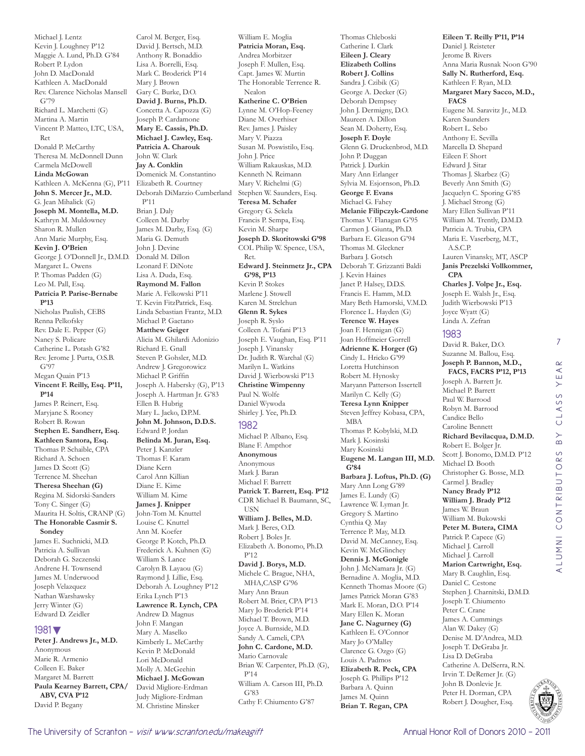Michael J. Lentz Kevin J. Loughney P'12 Maggie A. Lund, Ph.D. G'84 Robert P. Lydon John D. MacDonald Kathleen A. MacDonald Rev. Clarence Nicholas Mansell G'79 Richard L. Marchetti (G) Martina A. Martin Vincent P. Matteo, LTC, USA, Ret Donald P. McCarthy Theresa M. McDonnell Dunn Carmela McDowell **Linda McGowan**  Kathleen A. McKenna (G), P'11 Elizabeth R. Courtney **John S. Mercer Jr., M.D.**  G. Jean Mihalick (G) **Joseph M. Montella, M.D.**  Kathryn M. Muldowney Sharon R. Mullen Ann Marie Murphy, Esq. **Kevin J. O'Brien**  George J. O'Donnell Jr., D.M.D. Margaret L. Owens P. Thomas Padden (G) Leo M. Pall, Esq. **Patricia P. Parise-Bernabe P'13** Nicholas Paulish, CEBS Renna Pelkofsky Rev. Dale E. Pepper (G) Nancy S. Policare Catherine L. Potash G'82 Rev. Jerome J. Purta, O.S.B. G'97 Megan Quain P'13 **Vincent F. Reilly, Esq. P'11, P'14** James P. Reinert, Esq. Maryjane S. Rooney Robert B. Rowan **Stephen E. Sandherr, Esq. Kathleen Santora, Esq.**  Thomas P. Schaible, CPA Richard A. Schoen James D. Scott (G) Terrence M. Sheehan **Theresa Sheehan (G)** Regina M. Sidorski-Sanders Tony C. Singer (G) Maurita H. Soltis, CRANP (G) **The Honorable Casmir S. Sondey**  James E. Suchnicki, M.D. Patricia A. Sullivan Deborah G. Szczenski Andrene H. Townsend James M. Underwood Joseph Velazquez Nathan Warshawsky Jerry Winter (G) Edward D. Zeidler 1981▼ **Peter J. Andrews Jr., M.D.** 

#### Anonymous Marie R. Armenio Colleen E. Baker Margaret M. Barrett **Paula Kearney Barrett, CPA/ ABV, CVA P'12** David P. Begany

Carol M. Berger, Esq. David J. Bertsch, M.D. Anthony R. Bonaddio Lisa A. Borrelli, Esq. Mark C. Broderick P'14 Mary J. Brown Gary C. Burke, D.O. **David J. Burns, Ph.D.**  Concetta A. Capozza (G) Joseph P. Cardamone **Mary E. Cassis, Ph.D. Michael J. Cawley, Esq. Patricia A. Charouk**  John W. Clark **Jay A. Conklin**  Domenick M. Constantino Deborah DiMarzio Cumberland P'11 Brian J. Daly Colleen M. Darby James M. Darby, Esq. (G) Maria G. Demuth John J. Devine Donald M. Dillon Leonard F. DiNote Lisa A. Duda, Esq. **Raymond M. Fallon**  Marie A. Felkowski P'11 T. Kevin FitzPatrick, Esq. Linda Sebastian Frantz, M.D. Michael P. Gaetano **Matthew Geiger**  Alicia M. Ghilardi Adonizio Richard E. Gnall Steven P. Gohsler, M.D. Andrew J. Gregorowicz Michael P. Griffin Joseph A. Habersky (G), P'13 Joseph A. Hartman Jr. G'83 Ellen B. Hubrig Mary L. Jacko, D.P.M. **John M. Johnson, D.D.S.**  Edward P. Jordan **Belinda M. Juran, Esq.**  Peter J. Kanzler Thomas F. Karam Diane Kern Carol Ann Killian Diane E. Kime William M. Kime **James J. Knipper**  John-Tom M. Knuttel Louise C. Knuttel Ann M. Koefer George P. Kotch, Ph.D. Frederick A. Kuhnen (G) William S. Lance Carolyn B. Layaou (G) Raymond J. Lillie, Esq. Deborah A. Loughney P'12 Erika Lynch P'13 **Lawrence R. Lynch, CPA**  Andrew D. Magnus John F. Mangan Mary A. Maselko Kimberly L. McCarthy Kevin P. McDonald Lori McDonald Molly A. McGeehin **Michael J. McGowan**  David Migliore-Erdman Judy Migliore-Erdman M. Christine Minsker

Andrea Morbitzer Joseph F. Mullen, Esq. Capt. James W. Murtin The Honorable Terrence R. Nealon **Katherine C. O'Brien**  Lynne M. O'Hop-Feeney Diane M. Overhiser Rev. James J. Paisley Mary V. Piazza Susan M. Poswistilo, Esq. John J. Price William Rakauskas, M.D. Kenneth N. Reimann Mary V. Richelmi (G) Stephen W. Saunders, Esq. **Teresa M. Schafer**  Gregory G. Sekela Francis P. Sempa, Esq. Kevin M. Sharpe **Joseph D. Skoritowski G'98** COL Philip W. Spence, USA, Ret. **Edward J. Steinmetz Jr., CPA G'98, P'13** Kevin P. Stokes Marlene J. Stowell Karen M. Strelchun **Glenn R. Sykes**  Joseph R. Syslo Colleen A. Tofani P'13 Joseph E. Vaughan, Esq. P'11 Joseph J. Vinansky Dr. Judith R. Warchal (G) Marilyn L. Watkins David J. Wierbowski P'13 **Christine Wimpenny**  Paul N. Wolfe Daniel Wywoda Shirley J. Yee, Ph.D. 1982 Michael P. Albano, Esq. Blane F. Ampthor **Anonymous** Anonymous Mark J. Baran Michael F. Barrett **Patrick T. Barrett, Esq. P'12** CDR Michael B. Baumann, SC, USN **William J. Belles, M.D.**  Mark J. Beres, O.D. Robert J. Boles Jr. Elizabeth A. Bonomo, Ph.D. P'12 **David J. Borys, M.D.**  Michele C. Brague, NHA, MHA,CASP G'96 Mary Ann Braun Robert M. Brier, CPA P'13 Mary Jo Broderick P'14 Michael T. Brown, M.D. Joyce A. Burnside, M.D. Sandy A. Cameli, CPA **John C. Cardone, M.D.**  Mario Carnovale Brian W. Carpenter, Ph.D. (G), P'14 William A. Carson III, Ph.D. G'83 Cathy F. Chiumento G'87

William E. Moglia **Patricia Moran, Esq.** 

Thomas Chleboski Catherine I. Clark **Eileen J. Cleary Elizabeth Collins Robert J. Collins**  Sandra J. Czibik (G) George A. Decker (G) Deborah Dempsey John J. Dermigny, D.O. Maureen A. Dillon Sean M. Doherty, Esq. **Joseph F. Doyle**  Glenn G. Druckenbrod, M.D. John P. Duggan Patrick J. Durkin Mary Ann Erlanger Sylvia M. Esjornson, Ph.D. **George F. Evans**  Michael G. Fahey **Melanie Filipczyk-Cardone**  Thomas V. Flanagan G'95 Carmen J. Giunta, Ph.D. Barbara E. Gleason G'94 Thomas M. Gleckner Barbara J. Gotsch Deborah T. Grizzanti Baldi J. Kevin Haines Janet P. Halsey, D.D.S. Francis E. Hamm, M.D. Mary Beth Hamorski, V.M.D. Florence L. Hayden (G) **Terence W. Hayes**  Joan F. Hennigan (G) Joan Hoffmeier Gorrell **Adrienne K. Horger (G)** Cindy L. Hricko G'99 Loretta Hutchinson Robert M. Hynosky Maryann Patterson Issertell Marilyn C. Kelly (G) **Teresa Lynn Knipper**  Steven Jeffrey Kobasa, CPA, MBA Thomas P. Kobylski, M.D. Mark J. Kosinski Mary Kosinski **Eugene M. Langan III, M.D. G'84 Barbara J. Loftus, Ph.D. (G)** Mary Ann Long G'89 James E. Lundy (G) Lawrence W. Lyman Jr. Gregory S. Martino Cynthia Q. May Terrence P. May, M.D. David M. McCanney, Esq. Kevin W. McGlinchey **Dennis J. McGonigle**  John J. McNamara Jr. (G) Bernadine A. Moglia, M.D. Kenneth Thomas Moore (G) James Patrick Moran G'83 Mark E. Moran, D.O. P'14 Mary Ellen K. Moran **Jane C. Nagurney (G)** Kathleen E. O'Connor Mary Jo O'Malley Clarence G. Ozgo (G) Louis A. Padmos **Elizabeth R. Peck, CPA**  Joseph G. Phillips P'12 Barbara A. Quinn James M. Quinn **Brian T. Regan, CPA** 

**Eileen T. Reilly P'11, P'14** Daniel J. Reisteter Jerome B. Rivers Anna Maria Rusnak Noon G'90 **Sally N. Rutherford, Esq.**  Kathleen F. Ryan, M.D. **Margaret Mary Sacco, M.D., FACS**  Eugene M. Saravitz Jr., M.D. Karen Saunders Robert L. Sebo Anthony E. Sevilla Marcella D. Shepard Eileen F. Short Edward J. Sitar Thomas J. Skarbez (G) Beverly Ann Smith (G) Jacquelyn C. Sporing G'85 J. Michael Strong (G) Mary Ellen Sullivan P'11 William M. Trently, D.M.D. Patricia A. Trubia, CPA Maria E. Vaserberg, M.T., A.S.C.P. Lauren Vinansky, MT, ASCP **Janis Prezelski Vollkommer, CPA Charles J. Volpe Jr., Esq.**  Joseph E. Walsh Jr., Esq. Judith Wierbowski P'13 Joyce Wyatt (G) Linda A. Zefran 1983

#### David R. Baker, D.O. Suzanne M. Ballou, Esq. **Joseph P. Bannon, M.D., FACS, FACRS P'12, P'13** Joseph A. Barrett Jr. Michael P. Barrett Paul W. Barrood Robyn M. Barrood Candice Bello Caroline Bennett **Richard Bevilacqua, D.M.D.**  Robert E. Bolger Jr. Scott J. Bonomo, D.M.D. P'12 Michael D. Booth Christopher G. Bosse, M.D. Carmel J. Bradley **Nancy Brady P'12 William J. Brady P'12** James W. Braun William M. Bukowski **Peter M. Butera, CIMA**  Patrick P. Capece (G) Michael J. Carroll Michael J. Carroll **Marion Cartwright, Esq.**  Mary B. Caughlin, Esq. Daniel C. Cestone Stephen J. Charnitski, D.M.D. Joseph T. Chiumento Peter C. Crane James A. Cummings Alan W. Dakey (G) Denise M. D'Andrea, M.D. Joseph T. DeGraba Jr. Lisa D. DeGraba Catherine A. DelSerra, R.N. Irvin T. DeRemer Jr. (G) John B. Donlevie Jr. Peter H. Dorman, CPA Robert J. Dougher, Esq.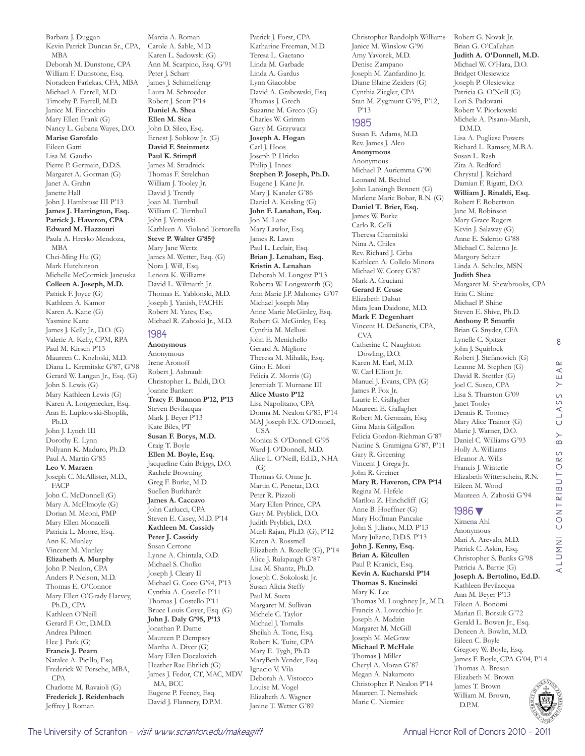Barbara J. Duggan Kevin Patrick Duncan Sr., CPA, MBA Deborah M. Dunstone, CPA William F. Dunstone, Esq. Noradeen Farlekas, CFA, MBA Michael A. Farrell, M.D. Timothy P. Farrell, M.D. Janice M. Finnochio Mary Ellen Frank (G) Nancy L. Gabana Wayes, D.O. **Marise Garofalo**  Eileen Gatti Lisa M. Gaudio Pierre P. Germain, D.D.S. Margaret A. Gorman (G) Janet A. Grahn Janette Hall John J. Hambrose III P'13 **James J. Harrington, Esq. Patrick J. Haveron, CPA Edward M. Hazzouri**  Paula A. Hresko Mendoza, MBA Chei-Ming Hu (G) Mark Hutchinson Michelle McCormick Jancuska **Colleen A. Joseph, M.D.**  Patrick F. Joyce (G) Kathleen A. Kamor Karen A. Kane (G) Yasmine Kane James J. Kelly Jr., D.O. (G) Valerie A. Kelly, CPM, RPA Paul M. Kirsch P'13 Maureen C. Kozloski, M.D. Diana L. Kremitske G'87, G'98 Gerard W. Langan Jr., Esq. (G) John S. Lewis (G) Mary Kathleen Lewis (G) Karen A. Longenecker, Esq. Ann E. Lupkowski-Shoplik, Ph.D. John J. Lynch III Dorothy E. Lynn Pollyann K. Maduro, Ph.D. Paul A. Martin G'85 **Leo V. Marzen**  Joseph C. McAllister, M.D., FACP John C. McDonnell (G) Mary A. McElmoyle (G) Dorian M. Meoni, PMP Mary Ellen Monacelli Patricia L. Moore, Esq. Ann K. Munley Vincent M. Munley **Elizabeth A. Murphy**  John P. Nealon, CPA Anders P. Nelson, M.D. Thomas E. O'Connor Mary Ellen O'Grady Harvey, Ph.D., CPA Kathleen O'Neill Gerard F. Ott, D.M.D. Andrea Palmeri Hee J. Park (G) **Francis J. Pearn**  Natalee A. Picillo, Esq. Frederick W. Porsche, MBA, CPA Charlotte M. Ravaioli (G) **Frederick J. Reidenbach**  Jeffrey J. Roman

Marcia A. Roman Carole A. Sable, M.D. Karen L. Sadowski (G) Ann M. Scarpino, Esq. G'91 Peter J. Scharr James J. Schimelfenig Laura M. Schroeder Robert J. Scott P'14 **Daniel A. Shea Ellen M. Sica**  John D. Sileo, Esq. Ernest J. Sobkow Jr. (G) **David F. Steinmetz Paul K. Stimpfl**  James M. Stradnick Thomas F. Strelchun William J. Tooley Jr. David J. Trently Joan M. Turnbull William C. Turnbull John J. Vernoski Kathleen A. Violand Tortorella **Steve P. Walter G'85†** Mary Jane Wertz James M. Wetter, Esq. (G) Nora J. Will, Esq. Lenora K. Williams David L. Wilmarth Jr. Thomas E. Yablonski, M.D. Joseph J. Yanish, FACHE Robert M. Yates, Esq. Michael R. Zaboski Jr., M.D. 1984 **Anonymous** Anonymous Irene Aronoff Robert J. Ashnault Christopher L. Baldi, D.O. Joanne Bankert **Tracy F. Bannon P'12, P'13** Steven Bevilacqua Mark J. Beyer P'13 Kate Biles, PT **Susan F. Borys, M.D.**  Craig T. Boyle **Ellen M. Boyle, Esq.**  Jacqueline Cain Briggs, D.O. Rachele Browning Greg F. Burke, M.D. Suellen Burkhardt **James A. Caccavo**  John Carlucci, CPA Steven E. Casey, M.D. P'14 **Kathleen M. Cassidy Peter J. Cassidy**  Susan Cerrone Lynne A. Chintala, O.D. Michael S. Cholko

Katharine Freeman, M.D. Teresa L. Gaetano Linda M. Garbade Linda A. Gardus Lynn Giacobbe David A. Grabowski, Esq. Thomas J. Grech Suzanne M. Greco (G) Charles W. Grimm Gary M. Grzywacz **Joseph A. Hogan**  Carl J. Hoos Joseph P. Hricko Philip J. Innes **Stephen P. Joseph, Ph.D.**  Eugene J. Kane Jr. Mary J. Kanzler G'86 Daniel A. Keisling (G) **John F. Lanahan, Esq.**  Jon M. Lane Mary Lawlor, Esq. James R. Lawn Paul L. Leclair, Esq. **Brian J. Lenahan, Esq. Kristin A. Lenahan**  Deborah M. Longest P'13 Roberta W. Longsworth (G) Ann Marie J.P. Mahoney G'07 Michael Joseph May Anne Marie McGinley, Esq. Robert G. McGinley, Esq. Cynthia M. Mellusi John E. Menichello Gerard A. Migliore Theresa M. Mihalik, Esq. Gino E. Mori Felicia Z. Morris (G) Jeremiah T. Murnane III **Alice Musto P'12** Lisa Napolitano, CPA Donna M. Nealon G'85, P'14 MAJ Joseph F.X. O'Donnell, USA Monica S. O'Donnell G'95 Ward J. O'Donnell, M.D. Alice L. O'Neill, Ed.D., NHA (G) Thomas G. Orme Jr. Martin C. Penetar, D.O. Peter R. Pizzoli Mary Ellen Prince, CPA Gary M. Pryblick, D.O. Judith Pryblick, D.O. Murli Rajan, Ph.D. (G), P'12 Karen A. Rossmell Elizabeth A. Rozelle (G), P'14 Alice J. Rulapaugh G'87 Lisa M. Shantz, Ph.D. Joseph C. Sokoloski Jr. Susan Alicia Steffy Paul M. Sueta Margaret M. Sullivan Michele C. Taylor Michael J. Tomalis Sheilah A. Tone, Esq. Robert K. Tuite, CPA Mary E. Tygh, Ph.D. MaryBeth Vender, Esq. Ignacio V. Vila Deborah A. Vistocco Louise M. Vogel Elizabeth A. Wagner Janine T. Wetter G'89

Patrick J. Forst, CPA

Christopher Randolph Williams Robert G. Novak Jr. Janice M. Winslow G'96 Amy Yavorek, M.D. Denise Zampano Joseph M. Zanfardino Jr. Diane Elaine Zeiders (G) Cynthia Ziegler, CPA Stan M. Zygmunt G'95, P'12, P'13 1985 Susan E. Adams, M.D. Rev. James J. Alco **Anonymous** Anonymous Michael P. Auriemma G'90 Leonard M. Bechtel John Lansingh Bennett (G) Marlene Marie Bobar, R.N. (G) **Daniel T. Brier, Esq.**  James W. Burke Carlo R. Celli Theresa Charnitski Nina A. Chiles Rev. Richard J. Cirba Kathleen A. Collelo Minora Michael W. Corey G'87 Mark A. Cruciani **Gerard F. Cruse**  Elizabeth Dahut Mara Jean Daidone, M.D. **Mark F. Degenhart**  Vincent H. DeSanctis, CPA, CVA Catherine C. Naughton Dowling, D.O. Karen M. Earl, M.D. W. Carl Elliott Jr. Manuel J. Evans, CPA (G) James P. Fox Jr. Laurie E. Gallagher Maureen E. Gallagher Robert M. Germain, Esq. Gina Maria Gilgallon Felicia Gordon-Riehman G'87 Nanine S. Gramigna G'87, P'11 Gary R. Greening

Vincent J. Grega Jr. John R. Greiner

Regina M. Hefele Marilou Z. Hinchcliff (G) Anne B. Hoeffner (G) Mary Hoffman Pancake John S. Juliano, M.D. P'13 Mary Juliano, D.D.S. P'13 **John J. Kenny, Esq. Brian A. Kilcullen**  Paul P. Kranick, Esq. **Kevin A. Kucharski P'14 Thomas S. Kucinski**  Mary K. Lee

**Mary R. Haveron, CPA P'14**

Thomas M. Loughney Jr., M.D. Francis A. Lovecchio Jr. Joseph A. Madzin Margaret M. McGill Joseph M. McGraw **Michael P. McHale**  Thomas J. Miller Cheryl A. Moran G'87 Megan A. Nakamoto Christopher P. Nealon P'14 Maureen T. Nemshick Marie C. Niemiec

Robert V. Piorkowski Michele A. Pisano-Marsh, D.M.D. Lisa A. Pugliese Powers Richard L. Ramsey, M.B.A. Susan L. Rash Zita A. Redford Chrystal J. Reichard Damian F. Rigatti, D.O. **William J. Rinaldi, Esq.**  Robert F. Robertson Jane M. Robinson Mary Grace Rogers Kevin J. Salaway (G) Anne E. Salerno G'88 Michael C. Salerno Jr. Margory Scharr Linda A. Schultz, MSN **Judith Shea**  Margaret M. Shewbrooks, CPA Erin C. Shine Michael P. Shine Steven E. Shive, Ph.D. **Anthony P. Smurfit**  Brian G. Snyder, CFA Lynelle C. Spitzer John J. Squirlock Robert J. Stefanovich (G) Leanne M. Stephen (G) David R. Stettler (G) Joel C. Susco, CPA Lisa S. Thurston G'09 Janet Tooley Dennis R. Toomey Mary Alice Trainor (G) Marie J. Warner, D.O. Daniel C. Williams G'93 Holly A. Williams Eleanor A. Wills Francis J. Winterle Elizabeth Witterschein, R.N. Eileen M. Wood Maureen A. Zaboski G'94 1986▼

Brian G. O'Callahan **Judith A. O'Donnell, M.D.**  Michael W. O'Hara, D.O. Bridget Olesiewicz Joseph P. Olesiewicz Patricia G. O'Neill (G) Lori S. Padovani

8

 $\alpha$  $\prec$ YE,

CLASS

 $\overline{B}$ 

ALUMNI CONTRIBUTORS BY CLASS YEAR

LUMNI CONTRIBUTORS

Ximena Ahl Anonymous Mari A. Arevalo, M.D. Patrick C. Askin, Esq. Christopher S. Banks G'98 Patricia A. Barrie (G) **Joseph A. Bertolino, Ed.D.**  Kathleen Bevilacqua Ann M. Beyer P'13 Eileen A. Bonomi Marian E. Borsuk G'72 Gerald L. Bowen Jr., Esq. Deneen A. Bowlin, M.D. Eileen C. Boyle Gregory W. Boyle, Esq. James F. Boyle, CPA G'04, P'14 Thomas A. Bresan Elizabeth M. Brown James T. Brown William M. Brown, D.P.M.

Joseph J. Cleary II Michael G. Coco G'94, P'13 Cynthia A. Costello P'11 Thomas J. Costello P'11 Bruce Louis Coyer, Esq. (G) **John J. Daly G'95, P'13** Jonathan P. Dame Maureen P. Dempsey Martha A. Diver (G) Mary Ellen Docalovich Heather Rae Ehrlich (G) James J. Fedor, CT, MAC, MDV

MA, BCC Eugene P. Feeney, Esq. David J. Flannery, D.P.M.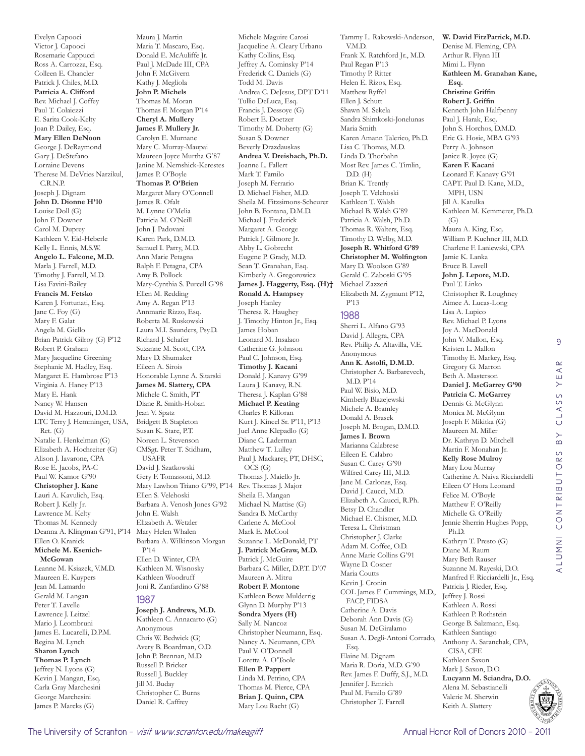Evelyn Capooci Victor J. Capooci Rosemarie Cappucci Ross A. Carrozza, Esq. Colleen E. Chancler Patrick J. Chiles, M.D. **Patricia A. Clifford**  Rev. Michael J. Coffey Paul T. Colaiezzi E. Sarita Cook-Kelty Joan P. Dailey, Esq. **Mary Ellen DeNoon**  George J. DeRaymond Gary J. DeStefano Lorraine Devens Therese M. DeVries Narzikul, C.R.N.P. Joseph J. Dignam **John D. Dionne H'10** Louise Doll (G) John F. Downer Carol M. Duprey Kathleen V. Eid-Heberle Kelly L. Ennis, M.S.W. **Angelo L. Falcone, M.D.**  Marla J. Farrell, M.D. Timothy J. Farrell, M.D. Lisa Favini-Bailey **Francis M. Fetsko**  Karen J. Fortunati, Esq. Jane C. Foy (G) Mary F. Galat Angela M. Giello Brian Patrick Gilroy (G) P'12 Robert P. Graham Mary Jacqueline Greening Stephanie M. Hadley, Esq. Margaret E. Hambrose P'13 Virginia A. Haney P'13 Mary E. Hank Nancy W. Hansen David M. Hazzouri, D.M.D. LTC Terry J. Hemminger, USA, Ret. (G) Natalie I. Henkelman (G) Elizabeth A. Hochreiter (G) Alison J. Iavarone, CPA Rose E. Jacobs, PA-C Paul W. Kamor G'90 **Christopher J. Kane**  Lauri A. Kavulich, Esq. Robert J. Kelly Jr. Lawrence M. Kelty Thomas M. Kennedy Deanna A. Klingman G'91, P'14 Mary Helen Whalen Ellen O. Kranick **Michele M. Ksenich-McGowan**  Leanne M. Ksiazek, V.M.D. Maureen E. Kuypers Jean M. Lamardo Gerald M. Langan Peter T. Lavelle Lawrence J. Leitzel Mario J. Leombruni James E. Lucarelli, D.P.M. Regina M. Lynch **Sharon Lynch Thomas P. Lynch**  Jeffrey N. Lyons (G) Kevin J. Mangan, Esq. Carla Gray Marchesini George Marchesini James P. Marcks (G)

Maura J. Martin Maria T. Mascaro, Esq. Donald E. McAuliffe Jr. Paul J. McDade III, CPA John F. McGivern Kathy J. Megliola **John P. Michels**  Thomas M. Moran Thomas F. Morgan P'14 **Cheryl A. Mullery James F. Mullery Jr.**  Carolyn E. Murnane Mary C. Murray-Maupai Maureen Joyce Murtha G'87 Janine M. Nemshick-Kerestes James P. O'Boyle **Thomas P. O'Brien**  Margaret Mary O'Connell James R. Ofalt M. Lynne O'Melia Patricia M. O'Neill John J. Padovani Karen Park, D.M.D. Samuel I. Parry, M.D. Ann Marie Petagna Ralph F. Petagna, CPA Amy B. Pollock Mary-Cynthia S. Purcell G'98 Ellen M. Redding Amy A. Regan P'13 Annmarie Rizzo, Esq. Roberta M. Ruskowski Laura M.I. Saunders, Psy.D. Richard J. Schafer Suzanne M. Scott, CPA Mary D. Shumaker Eileen A. Sirois Honorable Lynne A. Sitarski **James M. Slattery, CPA**  Michele C. Smith, PT Diane R. Smith-Hoban Jean V. Spatz Bridgett B. Stapleton Susan K. Stare, P.T. Noreen L. Stevenson CMSgt. Peter T. Stidham, USAFR David J. Szatkowski Gery F. Tomassoni, M.D. Mary Lawhon Triano G'99, P'14 Ellen S. Velehoski Barbara A. Venosh Jones G'92 John E. Walsh Elizabeth A. Wetzler Barbara A. Wilkinson Morgan P'14 Ellen D. Winter, CPA Kathleen M. Wisnosky Kathleen Woodruff Joni R. Zanfardino G'88 1987 **Joseph J. Andrews, M.D.**  Kathleen C. Annacarto (G)

Anonymous Chris W. Bedwick (G) Avery B. Boardman, O.D. John P. Brennan, M.D. Russell P. Bricker Russell J. Buckley Jill M. Buday Christopher C. Burns Daniel R. Caffrey

Michele Maguire Carosi Jacqueline A. Cleary Urbano Kathy Collins, Esq. Jeffrey A. Cominsky P'14 Frederick C. Daniels (G) Todd M. Davis Andrea C. DeJesus, DPT D'11 Tullio DeLuca, Esq. Francis J. Dessoye (G) Robert E. Doetzer Timothy M. Doherty (G) Susan S. Downer Beverly Drazdauskas **Andrea V. Dreisbach, Ph.D.**  Joanne L. Fallert Mark T. Familo Joseph M. Ferrario D. Michael Fisher, M.D. Sheila M. Fitzsimons-Scheurer John B. Fontana, D.M.D. Michael J. Frederick Margaret A. George Patrick J. Gilmore Jr. Abby L. Gobrecht Eugene P. Grady, M.D. Sean T. Granahan, Esq. Kimberly A. Gregorowicz **James J. Haggerty, Esq. (H)† Ronald A. Hampsey**  Joseph Hanley Theresa R. Haughey J. Timothy Hinton Jr., Esq. James Hoban Leonard M. Insalaco Catherine G. Johnson Paul C. Johnson, Esq. **Timothy J. Kacani**  Donald J. Kanavy G'99 Laura J. Kanavy, R.N. Theresa J. Kaplan G'88 **Michael P. Keating**  Charles P. Killoran Kurt J. Kincel Sr. P'11, P'13 Juel Anne Klepadlo (G) Diane C. Laderman Matthew T. Lulley Paul J. Mackarey, PT, DHSC, OCS (G) Thomas J. Maiello Jr. Rev. Thomas J. Major Sheila E. Mangan Michael N. Mattise (G) Sandra B. McCarthy Carlene A. McCool Mark E. McCool Suzanne L. McDonald, PT **J. Patrick McGraw, M.D.**  Patrick J. McGuire Barbara C. Miller, D.P.T. D'07 Maureen A. Mitru **Robert F. Montone**  Kathleen Bowe Mulderrig Glynn D. Murphy P'13 **Sondra Myers (H)** Sally M. Nancoz Christopher Neumann, Esq. Nancy A. Neumann, CPA Paul V. O'Donnell Loretta A. O'Toole **Ellen P. Pappert**  Linda M. Petrino, CPA Thomas M. Pierce, CPA **Brian J. Quinn, CPA**  Mary Lou Racht (G)

Tammy L. Rakowski-Anderson, V.M.D. Frank X. Ratchford Jr., M.D. Paul Regan P'13 Timothy P. Ritter Helen E. Rizos, Esq. Matthew Ryffel Ellen J. Schutt Shawn M. Sekela Sandra Shimkoski-Jonelunas Maria Smith Karen Amann Talerico, Ph.D. Lisa C. Thomas, M.D. Linda D. Thorbahn Most Rev. James C. Timlin, D.D. (H) Brian K. Trently Joseph T. Velehoski Kathleen T. Walsh Michael B. Walsh G'89 Patricia A. Walsh, Ph.D. Thomas R. Walters, Esq. Timothy D. Welby, M.D. **Joseph R. Whitford G'89 Christopher M. Wolfington**  Mary D. Woolson G'89 Gerald C. Zaboski G'95 Michael Zazzeri Elizabeth M. Zygmunt P'12, P'13

#### 1988

Sherri L. Alfano G'93 David J. Allegra, CPA Rev. Philip A. Altavilla, V.E. Anonymous **Ann K. Astolfi, D.M.D.**  Christopher A. Barbarevech, M.D. P'14 Paul W. Bisio, M.D. Kimberly Blazejewski Michele A. Bramley Donald A. Brasek Joseph M. Brogan, D.M.D. **James I. Brown**  Marianna Calabrese Eileen E. Calabro Susan C. Carey G'90 Wilfred Carey III, M.D. Jane M. Carlonas, Esq. David J. Caucci, M.D. Elizabeth A. Caucci, R.Ph. Betsy D. Chandler Michael E. Chismer, M.D. Teresa L. Christman Christopher J. Clarke Adam M. Coffee, O.D. Anne Marie Collins G'91 Wayne D. Cosner Maria Coutts Kevin J. Cronin COL James F. Cummings, M.D., FACP, FIDSA Catherine A. Davis Deborah Ann Davis (G) Susan M. DeGiralamo Susan A. Degli-Antoni Corrado, Esq. Elaine M. Dignam Maria R. Doria, M.D. G'90 Rev. James F. Duffy, S.J., M.D. Jennifer J. Emrich Paul M. Familo G'89 Christopher T. Farrell

**W. David FitzPatrick, M.D.**  Denise M. Fleming, CPA Arthur R. Flynn III Mimi L. Flynn **Kathleen M. Granahan Kane, Esq. Christine Griffin Robert J. Griffin**  Kenneth John Halfpenny Paul J. Harak, Esq. John S. Horchos, D.M.D. Eric G. Hosie, MBA G'93 Perry A. Johnson Janice R. Joyce (G) **Karen F. Kacani**  Leonard F. Kanavy G'91 CAPT. Paul D. Kane, M.D., MPH, USN Jill A. Katulka Kathleen M. Kemmerer, Ph.D. (G) Maura A. King, Esq. William P. Kuehner III, M.D. Charlene F. Laniewski, CPA Jamie K. Lanka Bruce B. Lavell **John J. Lepore, M.D.**  Paul T. Linko Christopher R. Loughney Aimee A. Lucas-Long Lisa A. Lupico Rev. Michael P. Lyons Joy A. MacDonald John V. Mallon, Esq. Kristen L. Mallon Timothy E. Markey, Esq. Gregory G. Marron Beth A. Masterson **Daniel J. McGarrey G'90 Patricia C. McGarrey**  Dennis G. McGlynn Monica M. McGlynn Joseph F. Mikitka (G) Maureen M. Miller Dr. Kathryn D. Mitchell Martin F. Monahan Jr. **Kelly Rose Mulroy**  Mary Lou Murray Catherine A. Naiva Ricciardelli Eileen O' Hora Leonard Felice M. O'Boyle Matthew F. O'Reilly Michelle G. O'Reilly Jennie Sherrin Hughes Popp, Ph.D. Kathryn T. Presto (G) Diane M. Raum Mary Beth Rauser Suzanne M. Rayeski, D.O. Manfred F. Ricciardelli Jr., Esq. Patricia J. Rieder, Esq. Jeffrey J. Rossi Kathleen A. Rossi Kathleen P. Rothstein George B. Salzmann, Esq. Kathleen Santiago Anthony A. Saranchak, CPA, CISA, CFE Kathleen Saxon Mark J. Saxon, D.O. **Lucyann M. Sciandra, D.O.**  Alena M. Sebastianelli Valerie M. Sherwin Keith A. Slattery

9

CLASS YEAR

ALUMNI CONTRIBUTORS BY CLASS YEAR

ALUMNI CONTRIBUTORS

 $\overline{B}$ 

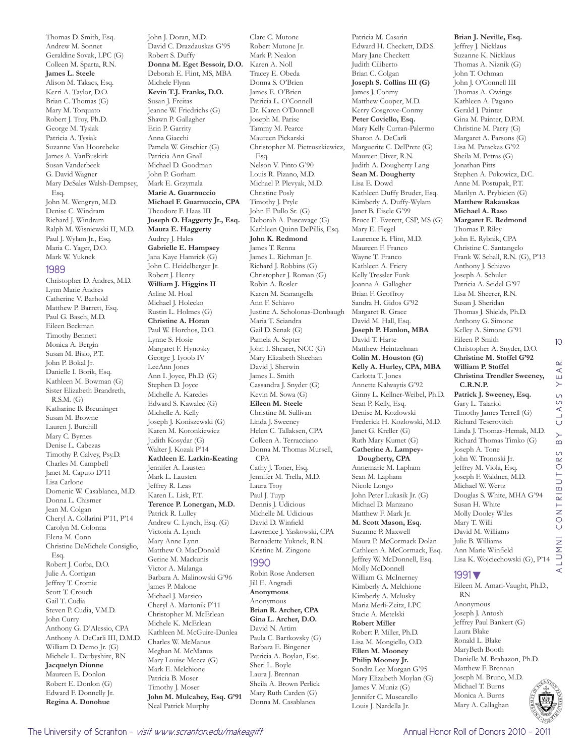Thomas D. Smith, Esq. Andrew M. Sonnet Geraldine Sovak, LPC (G) Colleen M. Sparta, R.N. **James L. Steele**  Alison M. Takacs, Esq. Kerri A. Taylor, D.O. Brian C. Thomas (G) Mary M. Torquato Robert J. Troy, Ph.D. George M. Tysiak Patricia A. Tysiak Suzanne Van Hoorebeke James A. VanBuskirk Susan Vanderbeek G. David Wagner Mary DeSales Walsh-Dempsey, Esq. John M. Wengryn, M.D. Denise C. Windram Richard J. Windram Ralph M. Wisniewski II, M.D. Paul J. Wylam Jr., Esq. Maria C. Yager, D.O. Mark W. Yuknek

#### 1989

Christopher D. Andres, M.D. Lynn Marie Andres Catherine V. Barhold Matthew P. Barrett, Esq. Paul G. Basch, M.D. Eileen Beckman Timothy Bennett Monica A. Bergin Susan M. Bisio, P.T. John P. Bokal Jr. Danielle I. Borik, Esq. Kathleen M. Bowman (G) Sister Elizabeth Brandreth, R.S.M. (G) Katharine B. Breuninger Susan M. Browne Lauren I. Burchill Mary C. Byrnes Denise L. Cabezas Timothy P. Calvey, Psy.D. Charles M. Campbell Janet M. Caputo D'11 Lisa Carlone Domenic W. Casablanca, M.D. Donna L. Chismer Jean M. Colgan Cheryl A. Collarini P'11, P'14 Carolyn M. Colonna Elena M. Conn Christine DeMichele Consiglio, Esq. Robert J. Corba, D.O. Julie A. Corrigan Jeffrey T. Cromie Scott T. Crouch Gail T. Cudia Steven P. Cudia, V.M.D. John Curry Anthony G. D'Alessio, CPA Anthony A. DeCarli III, D.M.D. William D. Demo Jr. (G) Michele L. Derbyshire, RN **Jacquelyn Dionne**  Maureen E. Donlon Robert E. Donlon (G) Edward F. Donnelly Jr. **Regina A. Donohue** 

John J. Doran, M.D. David C. Drazdauskas G'95 Robert S. Duffy **Donna M. Eget Bessoir, D.O.**  Deborah E. Flint, MS, MBA Michele Flynn **Kevin T.J. Franks, D.O.**  Susan J. Freitas Jeanne W. Friedrichs (G) Shawn P. Gallagher Erin P. Garrity Anna Giacchi Pamela W. Gitschier (G) Patricia Ann Gnall Michael D. Goodman John P. Gorham Mark E. Grzymala **Marie A. Guarnuccio Michael F. Guarnuccio, CPA**  Theodore F. Haas III **Joseph O. Haggerty Jr., Esq. Maura E. Haggerty**  Audrey J. Hales **Gabrielle E. Hampsey**  Jana Kaye Hamrick (G) John C. Heidelberger Jr. Robert J. Henry **William J. Higgins II**  Arline M. Hoal Michael J. Holecko Rustin L. Holmes (G) **Christine A. Horan**  Paul W. Horchos, D.O. Lynne S. Hosie Margaret F. Hynosky George J. Iyoob IV LeeAnn Jones Ann I. Joyce, Ph.D. (G) Stephen D. Joyce Michelle A. Karedes Edward S. Kawalec (G) Michelle A. Kelly Joseph J. Koniszewski (G) Karen M. Koronkiewicz Judith Kosydar (G) Walter J. Kozak P'14 **Kathleen E. Larkin-Keating**  Jennifer A. Lausten Mark L. Lausten Jeffrey R. Leas Karen L. Lisk, P.T. **Terence P. Lonergan, M.D.**  Patrick R. Lulley Andrew C. Lynch, Esq. (G) Victoria A. Lynch Mary Anne Lynn Matthew O. MacDonald Gerine M. Mackunis Victor A. Malanga Barbara A. Malinowski G'96 James P. Malone Michael J. Marsico Cheryl A. Martonik P'11 Christopher M. McErlean Michele K. McErlean Kathleen M. McGuire-Dunlea Charles W. McManus Meghan M. McManus Mary Louise Mecca (G) Mark E. Melchione Patricia B. Moser Timothy J. Moser **John M. Mulcahey, Esq. G'91** Neal Patrick Murphy

Clare C. Mutone Robert Mutone Jr. Mark P. Nealon Karen A. Noll Tracey E. Obeda Donna S. O'Brien James E. O'Brien Patricia L. O'Connell Dr. Karen O'Donnell Joseph M. Parise Tammy M. Pearce Maureen Pickarski Christopher M. Pietruszkiewicz, Esq. Nelson V. Pinto G'90 Louis R. Pizano, M.D. Michael P. Plevyak, M.D. Christine Posly Timothy J. Pryle John F. Pullo Sr. (G) Deborah A. Puscavage (G) Kathleen Quinn DePillis, Esq. **John K. Redmond**  James T. Renna James L. Riehman Jr. Richard J. Robbins (G) Christopher J. Roman (G) Robin A. Rosler Karen M. Scarangella Ann F. Schiavo Justine A. Scholonas-Donbaugh Maria T. Sciandra Gail D. Senak (G) Pamela A. Septer John I. Shearer, NCC (G) Mary Elizabeth Sheehan David J. Sherwin James L. Smith Cassandra J. Snyder (G) Kevin M. Sowa (G) **Eileen M. Steele**  Christine M. Sullivan Linda J. Sweeney Helen C. Tallaksen, CPA Colleen A. Terracciano Donna M. Thomas Mursell, CPA Cathy J. Toner, Esq. Jennifer M. Trella, M.D. Laura Troy Paul J. Tuyp Dennis J. Udicious Michelle M. Udicious David D. Winfield Lawrence J. Yaskowski, CPA Bernadette Yuknek, R.N. Kristine M. Zingone 1990 Robin Rose Andersen Jill E. Angradi **Anonymous** Anonymous **Brian R. Archer, CPA Gina L. Archer, D.O.**  David N. Artim Paula C. Bartkovsky (G) Barbara E. Bingener Patricia A. Boylan, Esq. Sheri L. Boyle Laura J. Brennan Sheila A. Brown Perlick Mary Ruth Carden (G)

Donna M. Casablanca

Patricia M. Casarin Edward H. Checkett, D.D.S. Mary Jane Checkett Judith Ciliberto Brian C. Colgan **Joseph S. Collins III (G)** James J. Conmy Matthew Cooper, M.D. Kerry Cosgrove-Conmy **Peter Coviello, Esq.**  Mary Kelly Curran-Palermo Sharon A. DeCarli Marguerite C. DelPrete (G) Maureen Diver, R.N. Judith A. Dougherty Lang **Sean M. Dougherty**  Lisa E. Dowd Kathleen Duffy Bruder, Esq. Kimberly A. Duffy-Wylam Janet B. Eisele G'99 Bruce E. Everett, CSP, MS (G) Mary E. Flegel Laurence E. Flint, M.D. Maureen F. Franco Wayne T. Franco Kathleen A. Friery Kelly Tressler Funk Joanna A. Gallagher Brian F. Geoffroy Sandra H. Gidos G'92 Margaret R. Grace David M. Hall, Esq. **Joseph P. Hanlon, MBA**  David T. Harte Matthew Heintzelman **Colin M. Houston (G) Kelly A. Hurley, CPA, MBA**  Carlotta T. Jones Annette Kalwaytis G'92 Ginny L. Kellner-Weibel, Ph.D. Sean P. Kelly, Esq. Denise M. Kozlowski Frederick H. Kozlowski, M.D. Janet G. Kreller (G) Ruth Mary Kumet (G) **Catherine A. Lampey-Dougherty, CPA**  Annemarie M. Lapham Sean M. Lapham Nicole Longo John Peter Lukasik Jr. (G) Michael D. Manzano Matthew F. Mark Jr. **M. Scott Mason, Esq.**  Suzanne P. Maxwell Maura P. McCormack Dolan Cathleen A. McCormack, Esq. Jeffrey W. McDonnell, Esq. Molly McDonnell William G. McInerney Kimberly A. Melchione Kimberly A. Melusky Maria Merli-Zeitz, LPC Stacie A. Metelski **Robert Miller**  Robert P. Miller, Ph.D. Lisa M. Mongiello, O.D. **Ellen M. Mooney Philip Mooney Jr.**  Sondra Lee Morgan G'95 Mary Elizabeth Moylan (G) James V. Muniz (G) Jennifer C. Muscarello Louis J. Nardella Jr.

**Brian J. Neville, Esq.**  Jeffrey J. Nicklaus Suzanne K. Nicklaus Thomas A. Niznik (G) John T. Ochman John J. O'Connell III Thomas A. Owings Kathleen A. Pagano Gerald J. Painter Gina M. Painter, D.P.M. Christine M. Parry (G) Margaret A. Parsons (G) Lisa M. Patackas G'92 Sheila M. Petras (G) Jonathan Pitts Stephen A. Pokowicz, D.C. Anne M. Postupak, P.T. Marilyn A. Prybicien (G) **Matthew Rakauskas Michael A. Raso Margaret E. Redmond**  Thomas P. Riley John E. Rybnik, CPA Christine C. Santangelo Frank W. Schall, R.N. (G), P'13 Anthony J. Schiavo Joseph A. Schuler Patricia A. Seidel G'97 Lisa M. Sheerer, R.N. Susan J. Sheridan Thomas J. Shields, Ph.D. Anthony G. Simone Kelley A. Simone G'91 Eileen P. Smith Christopher A. Snyder, D.O. **Christine M. Stoffel G'92 William P. Stoffel Christina Trendler Sweeney, C.R.N.P. Patrick J. Sweeney, Esq.**  Gary L. Taiariol Timothy James Terrell (G) Richard Teserovitch Linda J. Thomas-Hemak, M.D. Richard Thomas Timko (G) Joseph A. Tone John W. Tronoski Jr. Jeffrey M. Viola, Esq. Joseph F. Waldner, M.D. Michael W. Wertz Douglas S. White, MHA G'94 Susan H. White Molly Dooley Wiles Mary T. Willi David M. Williams Julie B. Williams Ann Marie Winfield Lisa K. Wojciechowski (G), P'14 1991▼

# ALUMNI CONTRIBUTORS BY CLASS YEAR UMNI CONTRIBUTORS  $\prec$ Eileen M. Amari-Vaught, Ph.D.,

10

 $\alpha$  $\prec$ YE,  $\circ$ LASS  $\circ$  $\rightarrow$  $\alpha$ 

## Mary A. Callaghan

RN Anonymous Joseph J. Antosh Jeffrey Paul Bankert (G)

Laura Blake Ronald L. Blake MaryBeth Booth

Danielle M. Brabazon, Ph.D. Matthew F. Brennan Joseph M. Bruno, M.D. Michael T. Burns Monica A. Burns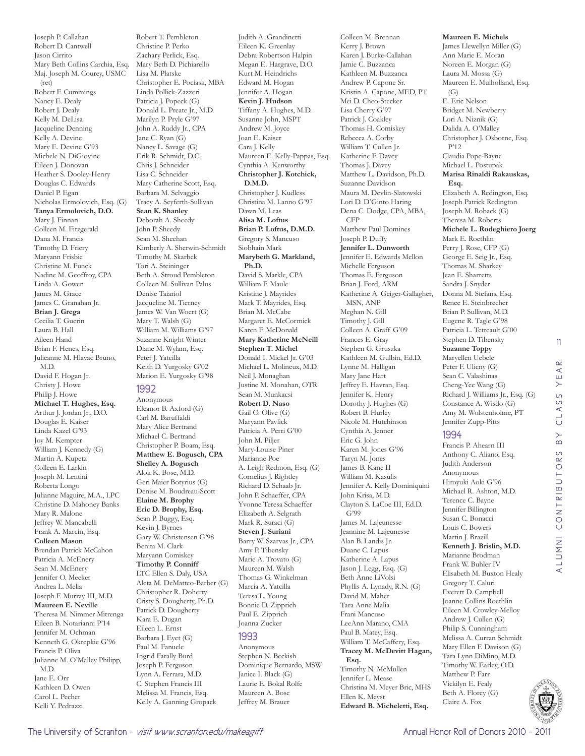Joseph P. Callahan Robert D. Cantwell Jason Cirrito Mary Beth Collins Carchia, Esq. Maj. Joseph M. Courey, USMC (ret) Robert F. Cummings Nancy E. Dealy Robert J. Dealy Kelly M. DeLisa Jacqueline Denning Kelly A. Devine Mary E. Devine G'93 Michele N. DiGiovine Eileen J. Donovan Heather S. Dooley-Henry Douglas C. Edwards Daniel P. Egan Nicholas Ermolovich, Esq. (G) **Tanya Ermolovich, D.O.**  Mary J. Finnan Colleen M. Fitzgerald Dana M. Francis Timothy D. Friery Maryann Frisbie Christine M. Funck Nadine M. Geoffroy, CPA Linda A. Gowen James M. Grace James C. Granahan Jr. **Brian J. Grega**  Cecilia T. Guerin Laura B. Hall Aileen Hand Brian F. Henes, Esq. Julieanne M. Hlavac Bruno, M.D. David F. Hogan Jr. Christy J. Howe Philip J. Howe **Michael T. Hughes, Esq.**  Arthur J. Jordan Jr., D.O. Douglas E. Kaiser Linda Kazel G'93 Joy M. Kempter William J. Kennedy (G) Martin A. Kupetz Colleen E. Larkin Joseph M. Lentini Roberta Longo Julianne Maguire, M.A., LPC Christine D. Mahoney Banks Mary R. Malone Jeffrey W. Mancabelli Frank A. Marcin, Esq. **Colleen Mason**  Brendan Patrick McCahon Patricia A. McEnery Sean M. McEnery Jennifer O. Meeker Andrea L. Melia Joseph F. Murray III, M.D. **Maureen E. Neville**  Theresa M. Nimmer Mitrenga Eileen B. Notarianni P'14 Jennifer M. Ochman Kenneth G. Okrepkie G'96 Francis P. Oliva Julianne M. O'Malley Philipp, M.D. Jane E. Orr Kathleen D. Owen Carol L. Pecher Kelli Y. Pedrazzi

Robert T. Pembleton Christine P. Perko Zachary Perlick, Esq. Mary Beth D. Pichiarello Lisa M. Platske Christopher E. Pociask, MBA Linda Pollick-Zazzeri Patricia J. Popeck (G) Donald L. Preate Jr., M.D. Marilyn P. Pryle G'97 John A. Ruddy Jr., CPA Jane C. Ryan (G) Nancy L. Savage (G) Erik R. Schmidt, D.C. Chris J. Schneider Lisa C. Schneider Mary Catherine Scott, Esq. Barbara M. Selvaggio Tracy A. Seyferth-Sullivan **Sean K. Shanley**  Deborah A. Sheedy John P. Sheedy Sean M. Sheehan Kimberly A. Sherwin-Schmidt Timothy M. Skarbek Tori A. Steininger Beth A. Stroud Pembleton Colleen M. Sullivan Palus Denise Taiariol Jacqueline M. Tierney James W. Van Woert (G) Mary T. Walsh (G) William M. Williams G'97 Suzanne Knight Winter Diane M. Wylam, Esq. Peter J. Yatcilla Keith D. Yurgosky G'02 Marion E. Yurgosky G'98 1992 Anonymous Eleanor B. Axford (G) Carl M. Baruffaldi Mary Alice Bertrand Michael C. Bertrand Christopher P. Boam, Esq. **Matthew E. Bogusch, CPA Shelley A. Bogusch**  Alok K. Bose, M.D. Geri Maier Botyrius (G) Denise M. Boudreau-Scott **Elaine M. Brophy Eric D. Brophy, Esq.**  Sean P. Buggy, Esq. Kevin J. Byrnes Gary W. Christensen G'98 Benita M. Clark Maryann Comiskey **Timothy P. Conniff** 

LTC Ellen S. Daly, USA Aleta M. DeMatteo-Barber (G) Christopher R. Doherty Cristy S. Dougherty, Ph.D. Patrick D. Dougherty Kara E. Dugan Eileen L. Ernst Barbara J. Eyet (G) Paul M. Fanuele Ingrid Farally Burd Joseph P. Ferguson Lynn A. Ferrara, M.D. C. Stephen Francis III Melissa M. Francis, Esq. Kelly A. Ganning Gropack

Judith A. Grandinetti Eileen K. Greenlay Debra Robertson Halpin Megan E. Hargrave, D.O. Kurt M. Heindrichs Edward M. Hogan Jennifer A. Hogan **Kevin J. Hudson**  Tiffany A. Hughes, M.D. Susanne John, MSPT Andrew M. Joyce Joan E. Kaiser Cara J. Kelly Maureen E. Kelly-Pappas, Esq. Cynthia A. Kenworthy **Christopher J. Kotchick, D.M.D.**  Christopher J. Kudless Christina M. Lanno G'97 Dawn M. Leas **Alisa M. Loftus Brian P. Loftus, D.M.D.**  Gregory S. Mancuso Siobhain Mark **Marybeth G. Markland, Ph.D.**  David S. Markle, CPA William F. Maule Kristine J. Mayrides Mark T. Mayrides, Esq. Brian M. McCabe Margaret E. McCormick Karen F. McDonald **Mary Katherine McNeill Stephen T. Michel**  Donald I. Mickel Jr. G'03 Michael L. Molineux, M.D. Neil J. Monaghan Justine M. Monahan, OTR Sean M. Munkacsi **Robert D. Naso**  Gail O. Olive (G) Maryann Pavlick Patricia A. Perri G'00 John M. Piljer Mary-Louise Piner Marianne Poe A. Leigh Redmon, Esq. (G) Cornelius J. Rightley Richard D. Schaab Jr. John P. Schaeffer, CPA Yvonne Teresa Schaeffer Elizabeth A. Selgrath Mark R. Suraci (G) **Steven J. Suriani**  Barry W. Szarvas Jr., CPA Amy P. Tibensky Marie A. Trovato (G) Maureen M. Walsh Thomas G. Winkelman Marcia A. Yatcilla Teresa L. Young Bonnie D. Zipprich Paul E. Zipprich Joanna Zucker 1993

Anonymous Stephen N. Beckish Dominique Bernardo, MSW Janice I. Black (G) Laurie E. Bokal Rolfe Maureen A. Bose Jeffrey M. Brauer

Colleen M. Brennan Kerry J. Brown Karen J. Burke-Callahan Jamie C. Buzzanca Kathleen M. Buzzanca Andrew P. Capone Sr. Kristin A. Capone, MED, PT Mei D. Cheo-Stecker Lisa Cherry G'97 Patrick J. Coakley Thomas H. Comiskey Rebecca A. Corby William T. Cullen Jr. Katherine F. Davey Thomas J. Davey Matthew L. Davidson, Ph.D. Suzanne Davidson Maura M. Devlin-Slatowski Lori D. D'Ginto Haring Dena C. Dodge, CPA, MBA, CFP Matthew Paul Domines Joseph P. Duffy **Jennifer L. Dunworth**  Jennifer E. Edwards Mellon Michelle Ferguson Thomas E. Ferguson Brian J. Ford, ARM Katherine A. Geiger-Gallagher, MSN, ANP Meghan N. Gill Timothy J. Gill Colleen A. Graff G'09 Frances E. Gray Stephen G. Gruszka Kathleen M. Gulbin, Ed.D. Lynne M. Halligan Mary Jane Hart Jeffrey E. Havran, Esq. Jennifer K. Henry Dorothy J. Hughes (G) Robert B. Hurley Nicole M. Hutchinson Cynthia A. Jenner Eric G. John Karen M. Jones G'96 Taryn M. Jones James B. Kane II William M. Kasulis Jennifer A. Kelly Dominiquini John Krisa, M.D. Clayton S. LaCoe III, Ed.D. G'99 James M. Lajeunesse Jeannine M. Lajeunesse Alan B. Landis Jr. Duane C. Lapus Katherine A. Lapus Jason J. Legg, Esq. (G) Beth Anne LiVolsi Phyllis A. Lynady, R.N. (G) David M. Maher Tara Anne Malia Frani Mancuso LeeAnn Marano, CMA Paul B. Matey, Esq. William T. McCaffery, Esq. **Tracey M. McDevitt Hagan, Esq.**  Timothy N. McMullen Jennifer L. Mease Christina M. Meyer Bric, MHS Ellen K. Meyst **Edward B. Micheletti, Esq.** 

**Maureen E. Michels**  James Llewellyn Miller (G) Ann Marie E. Moran Noreen E. Morgan (G) Laura M. Mossa (G) Maureen E. Mulholland, Esq.  $(G)$ E. Eric Nelson Bridget M. Newberry Lori A. Niznik (G) Dalida A. O'Malley Christopher J. Osborne, Esq. P'12 Claudia Pope-Bayne Michael L. Postupak **Marisa Rinaldi Rakauskas, Esq.**  Elizabeth A. Redington, Esq. Joseph Patrick Redington Joseph M. Roback (G) Theresa M. Roberts **Michele L. Rodeghiero Joerg**  Mark E. Roethlin Perry J. Rose, CFP (G) George E. Seig Jr., Esq. Thomas M. Sharkey Jean E. Sharretts Sandra J. Snyder Donna M. Stefans, Esq. Renee E. Steinbrecher Brian P. Sullivan, M.D. Eugene R. Tagle G'98 Patricia L. Tetreault G'00 Stephen D. Tibensky **Suzanne Toppy**  Maryellen Uebele Peter F. Ulicny (G) Sean C. Valashinas Cheng-Yee Wang (G) Richard J. Williams Jr., Esq. (G) Constance A. Wisdo (G) Amy M. Wolstenholme, PT Jennifer Zupp-Pitts 1994 Francis P. Ahearn III Anthony C. Aliano, Esq.

11



Judith Anderson Anonymous Hiroyuki Aoki G'96 Michael R. Ashton, M.D. Terence C. Bayne Jennifer Billington Susan C. Bonacci Louis C. Bowers Martin J. Brazill **Kenneth J. Brislin, M.D.**  Marianne Brodman Frank W. Buhler IV Elisabeth M. Buxton Healy Gregory T. Caluri Everett D. Campbell Joanne Collins Roethlin Eileen M. Crowley-Melloy Andrew J. Cullen (G) Philip S. Cunningham Melissa A. Curran Schmidt Mary Ellen F. Davison (G) Tara Lynn DiMino, M.D. Timothy W. Earley, O.D. Matthew P. Farr Vickilyn E. Fealy Beth A. Florey (G) Claire A. Fox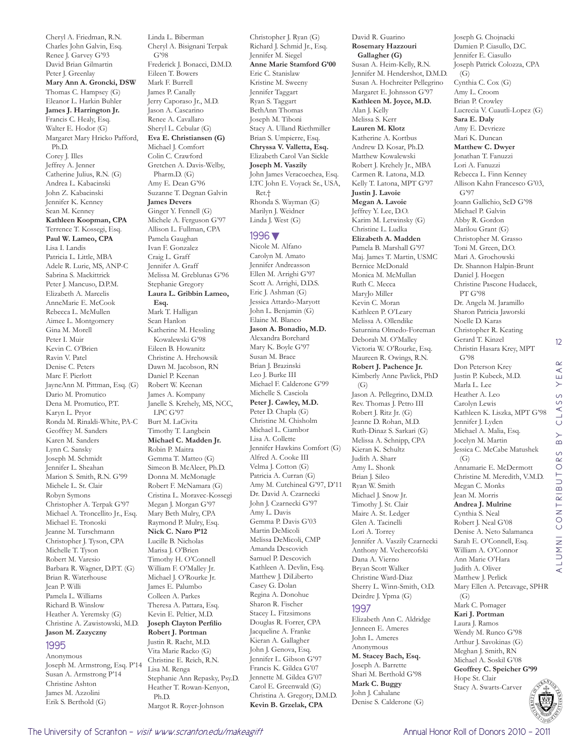Cheryl A. Friedman, R.N. Charles John Galvin, Esq. Renee J. Garvey G'93 David Brian Gilmartin Peter J. Greenlay **Mary Ann A. Groncki, DSW**  Thomas C. Hampsey (G) Eleanor L. Harkin Buhler **James J. Harrington Jr.**  Francis C. Healy, Esq. Walter E. Hodor (G) Margaret Mary Hricko Pafford, Ph.D. Corey J. Illes Jeffrey A. Jenner Catherine Julius, R.N. (G) Andrea L. Kabacinski John Z. Kabacinski Jennifer K. Kenney Sean M. Kenney **Kathleen Koopman, CPA**  Terrence T. Kossegi, Esq. **Paul W. Lameo, CPA**  Lisa I. Landis Patricia L. Little, MBA Adele R. Lurie, MS, ANP-C Sabrina S. Mackittrick Peter J. Mancuso, D.P.M. Elizabeth A. Marcelis AnneMarie E. McCook Rebecca L. McMullen Aimee L. Montgomery Gina M. Morell Peter I. Muir Kevin C. O'Brien Ravin V. Patel Denise C. Peters Marc F. Pierlott JayneAnn M. Pittman, Esq. (G) Dario M. Promutico Dena M. Promutico, P.T. Karyn L. Pryor Ronda M. Rinaldi-White, PA-C Geoffrey M. Sanders Karen M. Sanders Lynn C. Sansky Joseph M. Schmidt Jennifer L. Sheahan Marion S. Smith, R.N. G'99 Michele L. St. Clair Robyn Symons Christopher A. Terpak G'97 Michael A. Troncellito Jr., Esq. Michael E. Tronoski Jeanne M. Turschmann Christopher J. Tyson, CPA Michelle T. Tyson Robert M. Varesio Barbara R. Wagner, D.P.T. (G) Brian R. Waterhouse Jean P. Willi Pamela L. Williams Richard B. Winslow Heather A. Yeremsky (G) Christine A. Zawistowski, M.D. **Jason M. Zazyczny**  1995

#### Anonymous Joseph M. Armstrong, Esq. P'14 Susan A. Armstrong P'14 Christine Ashton James M. Azzolini Erik S. Berthold (G)

Linda L. Biberman Cheryl A. Bisignani Terpak G'98 Frederick J. Bonacci, D.M.D. Eileen T. Bowers Mark F. Burrell James P. Canally Jerry Caporaso Jr., M.D. Jason A. Cascarino Renee A. Cavallaro Sheryl L. Cebular (G) **Eva E. Christiansen (G)** Michael J. Comfort Colin C. Crawford Gretchen A. Davis-Welby, Pharm.D. (G) Amy E. Dean G'96 Suzanne T. Degnan Galvin **James Devers**  Ginger Y. Fennell (G) Michele A. Ferguson G'97 Allison L. Fullman, CPA Pamela Gaughan Ivan F. Gonzalez Craig L. Graff Jennifer A. Graff Melissa M. Greblunas G'96 Stephanie Gregory **Laura L. Gribbin Lameo, Esq.**  Mark T. Halligan Sean Hanlon Katherine M. Hessling Kowalewski G'98 Eileen B. Howanitz Christine A. Hrehowsik Dawn M. Jacobson, RN Daniel P. Keenan Robert W. Keenan James A. Kompany Janelle S. Krehely, MS, NCC, LPC G'97 Burt M. LaCivita Timothy T. Langbein **Michael C. Madden Jr.**  Robin P. Maitra Gemma T. Matteo (G) Simeon B. McAleer, Ph.D. Donna M. McMonagle Robert F. McNamara (G) Cristina L. Moravec-Kossegi Megan J. Morgan G'97 Mary Beth Mulry, CPA Raymond P. Mulry, Esq. **Nick C. Naro P'12** Lucille B. Nicholas Marisa J. O'Brien Timothy H. O'Connell William F. O'Malley Jr. Michael J. O'Rourke Jr. James E. Palumbo Colleen A. Parkes Theresa A. Pattara, Esq. Kevin E. Peltier, M.D. **Joseph Clayton Perfilio Robert J. Portman**  Justin R. Racht, M.D. Vita Marie Racko (G) Christine E. Reich, R.N. Lisa M. Renga Stephanie Ann Repasky, Psy.D. Heather T. Rowan-Kenyon,

Christopher J. Ryan (G) Richard J. Schmid Jr., Esq. Jennifer M. Siegel **Anne Marie Stamford G'00** Eric C. Stanislaw Kristine M. Sweeny Jennifer Taggart Ryan S. Taggart BethAnn Thomas Joseph M. Tiboni Stacy A. Ulland Riethmiller Brian S. Umpierre, Esq. **Chryssa V. Valletta, Esq.**  Elizabeth Carol Van Sickle **Joseph M. Vaszily**  John James Veracoechea, Esq. LTC John E. Voyack Sr., USA, Ret.† Rhonda S. Wayman (G) Marilyn J. Weidner Linda J. West (G) 1996▼ Nicole M. Alfano Carolyn M. Amato Jennifer Andreasson Ellen M. Arrighi G'97 Scott A. Arrighi, D.D.S. Eric J. Ashman (G) Jessica Attardo-Maryott John L. Benjamin (G) Elaine M. Blanco **Jason A. Bonadio, M.D.**  Alexandra Borchard Mary K. Boyle G'97 Susan M. Brace Brian J. Brazinski Leo J. Burke III Michael F. Calderone G'99 Michelle S. Casciola **Peter J. Cawley, M.D.**  Peter D. Chapla (G) Christine M. Chisholm Michael L. Ciambor Lisa A. Collette Jennifer Hawkins Comfort (G) Alfred A. Cooke III Velma J. Cotton (G) Patricia A. Curran (G)

Amy M. Cutchineal G'97, D'11 Dr. David A. Czarnecki John J. Czarnecki G'97 Amy L. Davis Gemma P. Davis G'03 Martin DeMicoli Melissa DeMicoli, CMP Amanda Descovich Samuel P. Descovich Kathleen A. Devlin, Esq. Matthew J. DiLiberto Casey G. Dolan Regina A. Donohue Sharon R. Fischer Stacey L. Fitzsimons Douglas R. Forrer, CPA Jacqueline A. Franke Kieran A. Gallagher John J. Genova, Esq. Jennifer L. Gibson G'97 Francis K. Gildea G'07 Jennette M. Gildea G'07 Carol E. Greenwald (G) Christina A. Gregory, D.M.D.

**Kevin B. Grzelak, CPA** 

**Rosemary Hazzouri Gallagher (G)** Susan A. Heim-Kelly, R.N. Jennifer M. Hendershot, D.M.D. Susan A. Hochreiter Pellegrino Margaret E. Johnsson G'97 **Kathleen M. Joyce, M.D.**  Alan J. Kelly Melissa S. Kerr **Lauren M. Klotz**  Katherine A. Kortbus Andrew D. Kosar, Ph.D. Matthew Kowalewski Robert J. Krehely Jr., MBA Carmen R. Latona, M.D. Kelly T. Latona, MPT G'97 **Justin J. Lavoie Megan A. Lavoie**  Jeffrey Y. Lee, D.O. Karim M. Letwinsky (G) Christine L. Ludka **Elizabeth A. Madden**  Pamela B. Marshall G'97 Maj. James T. Martin, USMC Bernice McDonald Monica M. McMullan Ruth C. Mecca MaryJo Miller Kevin C. Moran Kathleen P. O'Leary Melissa A. Ollendike Saturnina Olmedo-Foreman Deborah M. O'Malley Victoria W. O'Rourke, Esq. Maureen R. Owings, R.N. **Robert J. Pachence Jr.**  Kimberly Anne Pavlick, PhD  $(G)$ Jason A. Pellegrino, D.M.D. Rev. Thomas J. Petro III Robert J. Ritz Jr. (G) Jeanne D. Rohan, M.D. Ruth-Dinaz S. Sarkari (G) Melissa A. Schnipp, CPA Kieran K. Schultz Judith A. Sharr Amy L. Shonk Brian J. Sileo Ryan W. Smith Michael J. Snow Jr. Timothy J. St. Clair Maire A. St. Ledger Glen A. Tacinelli Lori A. Torrey Jennifer A. Vaszily Czarnecki Anthony M. Vechercofski Dana A. Vierno Bryan Scott Walker Christine Ward-Diaz Sherry L. Winn-Smith, O.D. Deirdre J. Ypma (G) 1997 Elizabeth Ann C. Aldridge

David R. Guarino

Jenneen E. Ameres John L. Ameres Anonymous **M. Stacey Bach, Esq.**  Joseph A. Barrette Shari M. Berthold G'98 **Mark C. Buggy**  John J. Cahalane Denise S. Calderone (G) Joseph G. Chojnacki Damien P. Ciasullo, D.C. Jennifer E. Ciasullo Joseph Patrick Colozza, CPA  $(G)$ Cynthia C. Cox (G) Amy L. Croom Brian P. Crowley Lucrecia V. Cuautli-Lopez (G) **Sara E. Daly**  Amy E. Devrieze Mari K. Duncan **Matthew C. Dwyer**  Jonathan T. Fanuzzi Lori A. Fanuzzi Rebecca L. Finn Kenney Allison Kahn Francesco G'03, G'97 Joann Gallichio, ScD G'98 Michael P. Galvin Abby R. Gordon Marilou Grant (G) Christopher M. Grasso Toni M. Green, D.O. Mari A. Grochowski Dr. Shannon Halpin-Brunt Daniel J. Hoegen Christine Pascone Hudacek, PT G'98 Dr. Angela M. Jaramillo Sharon Patricia Jaworski Noelle D. Karas Christopher R. Keating Gerard T. Kinzel Christin Hasara Krey, MPT G'98 Don Peterson Krey Justin P. Kubeck, M.D. Marla L. Lee Heather A. Leo Carolyn Lewis Kathleen K. Liszka, MPT G'98 Jennifer J. Lyden Michael A. Malia, Esq. Jocelyn M. Martin Jessica C. McCabe Matushek  $(G)$ Annamarie E. McDermott Christine M. Meredith, V.M.D. Megan C. Monks Jean M. Morris **Andrea J. Mulrine**  Cynthia S. Neal Robert J. Neal G'08 Denise A. Neto Salamanca Sarah E. O'Connell, Esq. William A. O'Connor Ann Marie O'Hara Judith A. Oliver Matthew J. Perlick Mary Ellen A. Petcavage, SPHR  $(G)$ Mark C. Pomager **Kari J. Portman**  Laura J. Ramos Wendy M. Runco G'98 Arthur J. Savokinas (G) Meghan J. Smith, RN Michael A. Soskil G'08

12

 $\alpha$  $\prec$  $\times$  $\circ$  $\circ$  $\prec$  $\overline{\phantom{0}}$  $\circ$  $\begin{array}{c}\n\searrow\\
\searrow\n\end{array}$ 

ALUMNI CONTRIBUTORS BY CLASS YEAR

ALUMNI CONTRIBUT

OR<sub>S</sub>



Ph.D.

Margot R. Royer-Johnson

Hope St. Clair Stacy A. Swarts-Carver

**Geoffrey C. Speicher G'99**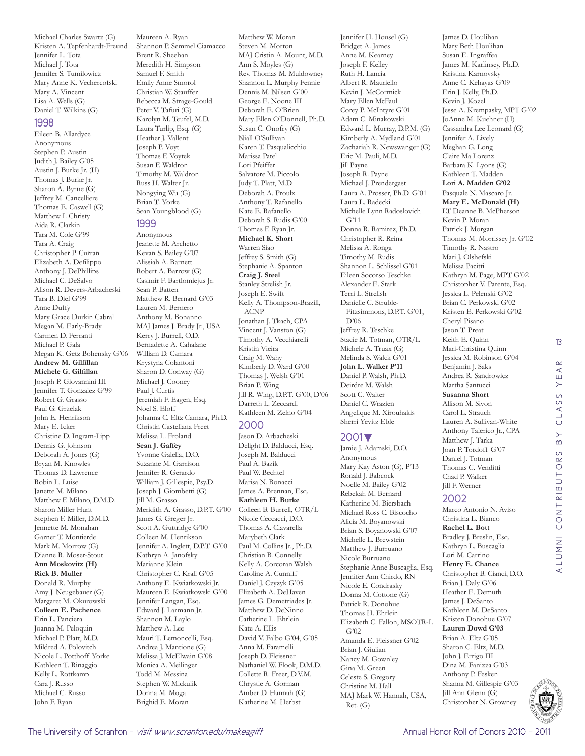Michael Charles Swartz (G) Kristen A. Tepfenhardt-Freund Jennifer L. Tota Michael J. Tota Jennifer S. Tumilowicz Mary Anne K. Vechercofski Mary A. Vincent Lisa A. Wells (G) Daniel T. Wilkins (G)

#### 1998

Eileen B. Allardyce Anonymous Stephen P. Austin Judith J. Bailey G'05 Austin J. Burke Jr. (H) Thomas I. Burke Ir. Sharon A. Byrne (G) Jeffrey M. Cancelliere Thomas E. Caswell (G) Matthew I. Christy Aida R. Clarkin Tara M. Cole G'99 Tara A. Craig Christopher P. Curran Elizabeth A. Defilippo Anthony J. DePhillips Michael C. DeSalvo Alison R. Devers-Arbacheski Tara B. Diel G'99 Anne Duffy Mary Grace Durkin Cabral Megan M. Early-Brady Carmen D. Ferranti Michael P. Gala Megan K. Getz Bohensky G'06 **Andrew M. Gilfillan Michele G. Gilfillan**  Joseph P. Giovannini III Jennifer T. Gonzalez G'99 Robert G. Grasso Paul G. Grzelak John E. Henrikson Mary E. Icker Christine D. Ingram-Lipp Dennis G. Johnson Deborah A. Jones (G) Bryan M. Knowles Thomas D. Lawrence Robin L. Luise Janette M. Milano Matthew F. Milano, D.M.D. Sharon Miller Hunt Stephen F. Miller, D.M.D. Jennette M. Monahan Garner T. Montierde Mark M. Morrow (G) Dianne R. Moser-Stout **Ann Moskovitz (H) Rick B. Muller**  Donald R. Murphy Amy J. Neugebauer (G) Margaret M. Okurowski **Colleen E. Pachence**  Erin L. Panciera Joanna M. Peloquin Michael P. Platt, M.D. Mildred A. Polovitch Nicole L. Potthoff Yorke Kathleen T. Rinaggio Kelly L. Rottkamp Cara J. Russo Michael C. Russo John F. Ryan

Maureen A. Ryan Shannon P. Semmel Ciamacco Brent R. Sheehan Meredith H. Simpson Samuel F. Smith Emily Anne Smorol Christian W. Stauffer Rebecca M. Strage-Gould Peter V. Tafuri (G) Karolyn M. Teufel, M.D. Laura Turlip, Esq. (G) Heather J. Vallent Joseph P. Voyt Thomas F. Voytek Susan F. Waldron Timothy M. Waldron Russ H. Walter Jr. Nongying Wu (G) Brian T. Yorke Sean Youngblood (G)

#### 1999

Anonymous Jeanette M. Archetto Kevan S. Bailey G'07 Alissiah A. Barnett Robert A. Barrow (G) Casimir F. Bartlomiejus Jr. Sean P. Batten Matthew R. Bernard G'03 Lauren M. Bernero Anthony M. Bonanno MAJ James J. Brady Jr., USA Kerry J. Burrell, O.D. Bernadette A. Cahalane William D. Camara Krystyna Colantoni Sharon D. Conway (G) Michael J. Cooney Paul J. Curtis Jeremiah F. Eagen, Esq. Noel S. Eloff Johanna C. Eltz Camara, Ph.D. Christin Castellana Freet Melissa L. Froland **Sean J. Gaffey**  Yvonne Galella, D.O. Suzanne M. Garrison Jennifer R. Gerardo William J. Gillespie, Psy.D. Joseph J. Giombetti (G) Jill M. Grasso Meridith A. Grasso, D.P.T. G'00 James G. Greger Jr. Scott A. Guttridge G'00 Colleen M. Henrikson Jennifer A. Inglett, D.P.T. G'00 Kathryn A. Janofsky Marianne Klein Christopher C. Krall G'05 Anthony E. Kwiatkowski Jr. Maureen E. Kwiatkowski G'00 Jennifer Langan, Esq. Edward J. Larmann Jr. Shannon M. Laylo Matthew A. Lee Mauri T. Lemoncelli, Esq. Andrea J. Mantione (G) Melissa J. McElwain G'08 Monica A. Meilinger Todd M. Messina Stephen W. Mickulik Donna M. Moga Brighid E. Moran

Matthew W. Moran Steven M. Morton MAJ Cristin A. Mount, M.D. Ann S. Moyles (G) Rev. Thomas M. Muldowney Shannon L. Murphy Fennie Dennis M. Nilsen G'00 George E. Noone III Deborah E. O'Brien Mary Ellen O'Donnell, Ph.D. Susan C. Onofry (G) Niall O'Sullivan Karen T. Pasqualicchio Marissa Patel Lori Pfeiffer Salvatore M. Piccolo Judy T. Platt, M.D. Deborah A. Proulx Anthony T. Rafanello Kate E. Rafanello Deborah S. Rudis G'00 Thomas F. Ryan Jr. **Michael K. Short**  Warren Siao Jeffrey S. Smith (G) Stephanie A. Spanton **Craig J. Steel**  Stanley Strelish Jr. Joseph E. Swift Kelly A. Thompson-Brazill, ACNP Jonathan J. Tkach, CPA Vincent J. Vanston (G) Timothy A. Vecchiarelli Kristin Vieira Craig M. Wahy Kimberly D. Ward G'00 Thomas J. Welsh G'01 Brian P. Wing Jill R. Wing, D.P.T. G'00, D'06 Darreth L. Zeccardi Kathleen M. Zelno G'04

#### 2000

Jason D. Arbacheski Delight D. Balducci, Esq. Joseph M. Balducci Paul A. Bazik Paul W. Bechtel Marisa N. Bonacci James A. Brennan, Esq. **Kathleen H. Burke**  Colleen B. Burrell, OTR/L Nicole Ceccacci, D.O. Thomas A. Ciavarella Marybeth Clark Paul M. Collins Jr., Ph.D. Christian B. Connelly Kelly A. Corcoran Walsh Caroline A. Cunniff Daniel J. Czyzyk G'05 Elizabeth A. DeHaven James G. Demetriades Jr. Matthew D. DeNinno Catherine L. Ehrlein Kate A. Ellis David V. Falbo G'04, G'05 Anna M. Faramelli Joseph D. Fleissner Nathaniel W. Flook, D.M.D. Collette R. Freer, D.V.M. Chrystie A. Gorman Amber D. Hannah (G) Katherine M. Herbst

Jennifer H. Housel (G) Bridget A. James Anne M. Kearney Joseph F. Kelley Ruth H. Lancia Albert R. Mauriello Kevin J. McCormick Mary Ellen McFaul Corey P. McIntyre G'01 Adam C. Minakowski Edward L. Murray, D.P.M. (G) Kimberly A. Mydland G'01 Zachariah R. Newswanger (G) Eric M. Pauli, M.D. Jill Payne Joseph R. Payne Michael J. Prendergast Laura A. Prosser, Ph.D. G'01 Laura L. Radecki Michelle Lynn Radoslovich G'11 Donna R. Ramirez, Ph.D. Christopher R. Reina Melissa A. Ronga Timothy M. Rudis Shannon L. Schlissel G'01 Eileen Socorso Teschke Alexander E. Stark Terri L. Strelish Danielle C. Struble-Fitzsimmons, D.P.T. G'01, D'06 Jeffrey R. Teschke Stacie M. Totman, OTR/L Michele A. Truax (G) Melinda S. Walck G'01 **John L. Walker P'11** Daniel P. Walsh, Ph.D. Deirdre M. Walsh Scott C. Walter Daniel C. Wrazien Angelique M. Xirouhakis Sherri Yevitz Eble

#### 2001▼

Jamie J. Adamski, D.O. Anonymous Mary Kay Aston (G), P'13 Ronald J. Babcock Noelle M. Bailey G'02 Rebekah M. Bernard Katherine M. Biersbach Michael Ross C. Biscocho Alicia M. Boyanowski Brian S. Boyanowski G'07 Michelle L. Brewstein Matthew J. Burruano Nicole Burruano Stephanie Anne Buscaglia, Esq. Jennifer Ann Chirdo, RN Nicole E. Condrasky Donna M. Cottone (G) Patrick R. Donohue Thomas H. Ehrlein Elizabeth C. Fallon, MSOTR-L G'02 Amanda E. Fleissner G'02 Brian J. Giulian Nancy M. Gownley Gina M. Green Celeste S. Gregory Christine M. Hall MAJ Mark W. Hannah, USA, Ret. (G)

James D. Houlihan Mary Beth Houlihan Susan E. Ingraffea James M. Karlinsey, Ph.D. Kristina Karnovsky Anne C. Kehayas G'09 Erin J. Kelly, Ph.D. Kevin J. Kozel Jesse A. Krempasky, MPT G'02 JoAnne M. Kuehner (H) Cassandra Lee Leonard (G) Jennifer A. Lively Meghan G. Long Claire Ma Lorenz Barbara K. Lyons (G) Kathleen T. Madden **Lori A. Madden G'02** Pasquale N. Mascaro Jr. **Mary E. McDonald (H)** LT Deanne B. McPherson Kevin P. Moran Patrick J. Morgan Thomas M. Morrissey Jr. G'02 Timothy R. Nastro Mari J. Olshefski Melissa Pacitti Kathryn M. Page, MPT G'02 Christopher V. Parente, Esq. Jessica L. Pelenski G'02 Brian C. Perkowski G'02 Kristen E. Perkowski G'02 Cheryl Pisano Jason T. Preat Keith E. Quinn Mari-Christina Quinn Jessica M. Robinson G'04 Benjamin J. Saks Andrea R. Sandrowicz Martha Santucci **Susanna Short**  Allison M. Sivon Carol L. Strauch Lauren A. Sullivan-White Anthony Talerico Jr., CPA Matthew J. Tarka Joan P. Tordoff G'07 Daniel J. Totman Thomas C. Venditti Chad P. Walker Jill F. Werner

#### 2002

Marco Antonio N. Aviso Christina L. Bianco **Rachel L. Bott**  Bradley J. Breslin, Esq. Kathryn L. Buscaglia Lori M. Carrino **Henry E. Chance**  Christopher B. Cianci, D.O. Brian J. Daly G'06 Heather E. Demuth James J. DeSanto Kathleen M. DeSanto Kristen Donohue G'07 **Lauren Dowd G'03** Brian A. Eltz G'05 Sharon C. Eltz, M.D. John J. Errigo III Dina M. Fanizza G'03 Anthony P. Fesken Shanna M. Gillespie G'03 Jill Ann Glenn (G) Christopher N. Growney

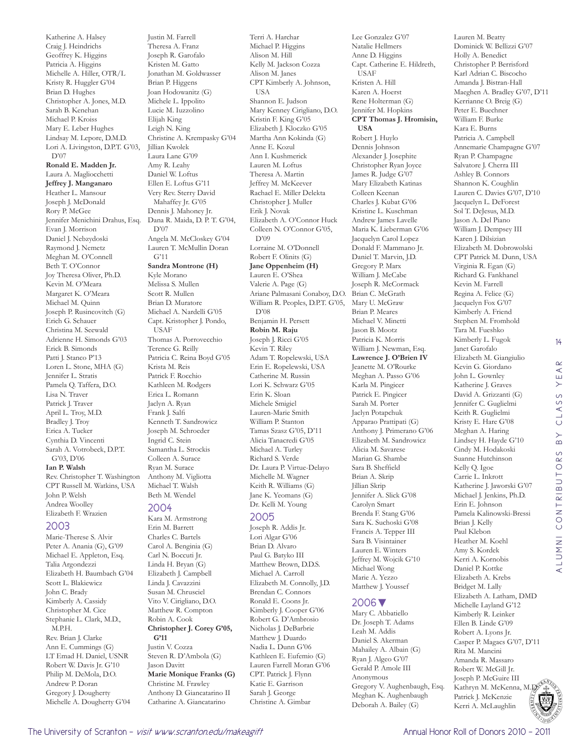Geoffrey K. Higgins Patricia A. Higgins Michelle A. Hiller, OTR/L Kristy R. Huggler G'04 Brian D. Hughes Christopher A. Jones, M.D. Sarah B. Kenehan Michael P. Kroiss Mary E. Leber Hughes Lindsay M. Lepore, D.M.D. Lori A. Livingston, D.P.T. G'03, D'07 **Ronald E. Madden Jr.**  Laura A. Magliocchetti **Jeffrey J. Manganaro**  Heather L. Mansour Joseph J. McDonald Rory P. McGee Jennifer Menichini Drahus, Esq. Evan J. Morrison Daniel J. Nebzydoski Raymond J. Nemetz Meghan M. O'Connell Beth T. O'Connor Joy Theresa Oliver, Ph.D. Kevin M. O'Meara Margaret K. O'Meara Michael M. Quinn Joseph P. Rusincovitch (G) Erich G. Schauer Christina M. Seewald Adrienne H. Simonds G'03 Erick B. Simonds Patti J. Stanco P'13 Loren L. Stone, MHA (G) Jennifer L. Stratis Pamela Q. Taffera, D.O. Lisa N. Traver Patrick J. Traver April L. Troy, M.D. Bradley J. Troy Erica A. Tucker Cynthia D. Vincenti Sarah A. Votrobeck, D.P.T. G'03, D'06 **Ian P. Walsh**  Rev. Christopher T. Washington CPT Russell M. Watkins, USA John P. Welsh Andrea Woolley Elizabeth F. Wrazien

Katherine A. Halsey Craig J. Heindrichs

#### 2003

Marie-Therese S. Alvir Peter A. Anania (G), G'09 Michael E. Appleton, Esq. Talia Argondezzi Elizabeth H. Baumbach G'04 Scott L. Blakiewicz John C. Brady Kimberly A. Cassidy Christopher M. Cice Stephanie L. Clark, M.D.,  $\overline{M}$  PH. Rev. Brian J. Clarke Ann E. Cummings (G) LT Emad H. Daniel, USNR Robert W. Davis Jr. G'10 Philip M. DeMola, D.O. Andrew P. Doran Gregory J. Dougherty Michelle A. Dougherty G'04

Justin M. Farrell Theresa A. Franz Joseph R. Garofalo Kristen M. Gatto Jonathan M. Goldwasser Brian P. Higgens Joan Hodowanitz (G) Michele L. Ippolito Lucie M. Iuzzolino Elijah King Leigh N. King Christine A. Krempasky G'04 Jillian Kwolek Laura Lane G'09 Amy R. Leahy Daniel W. Loftus Ellen E. Loftus G'11 Very Rev. Sterry David Mahaffey Jr. G'05 Dennis J. Mahoney Jr. Dana R. Maida, D. P. T. G'04, D'07 Angela M. McCloskey G'04 Lauren T. McMullin Doran G'11 **Sandra Montrone (H)** Kyle Morano Melissa S. Mullen Scott R. Mullen Brian D. Muratore Michael A. Nardelli G'05 Capt. Kristopher J. Pondo, USAF Thomas A. Porrovecchio Terence G. Reilly Patricia C. Reina Boyd G'05 Krista M. Reis Patrick F. Rocchio Kathleen M. Rodgers Erica L. Romann Jaclyn A. Ryan Frank J. Salfi Kenneth T. Sandrowicz Joseph M. Schroeder Ingrid C. Stein Samantha L. Strockis Colleen A. Surace Ryan M. Surace Anthony M. Vigliotta Michael T. Walsh Beth M. Wendel 2004 Kara M. Armstrong

Erin M. Barrett Charles C. Bartels Carol A. Benginia (G) Carl N. Boccuti Jr. Linda H. Bryan (G) Elizabeth J. Campbell Linda J. Cavazzini Susan M. Chrusciel Vito V. Cirigliano, D.O. Matthew R. Compton Robin A. Cook **Christopher J. Corey G'05, G'11** Justin V. Cozza Steven R. D'Ambola (G) Jason Davitt **Marie Monique Franks (G)** Christine M. Frawley Anthony D. Giancatarino II Catharine A. Giancatarino

Terri A. Harchar Michael P. Higgins Alison M. Hill Kelly M. Jackson Cozza Alison M. Janes CPT Kimberly A. Johnson, USA Shannon E. Judson Mary Kenney Cirigliano, D.O. Kristin F. King G'05 Elizabeth J. Kloczko G'05 Martha Ann Kokinda (G) Anne E. Kozul Ann I. Kushmerick Lauren M. Loftus Theresa A. Martin Jeffrey M. McKeever Rachael E. Miller Delekta Christopher J. Muller Erik J. Novak Elizabeth A. O'Connor Huck Colleen N. O'Connor G'05, D'09 Lorraine M. O'Donnell Robert F. Olinits (G) **Jane Oppenheim (H)** Lauren E. O'Shea Valerie A. Page (G) Ariane Palmasani Conaboy, D.O. William R. Peoples, D.P.T. G'05, D'08 Benjamin H. Persett **Robin M. Raju**  Joseph J. Ricci G'05 Kevin T. Riley Adam T. Ropelewski, USA Erin E. Ropelewski, USA Catherine M. Russin Lori K. Schwarz G'05 Erin K. Sloan Michele Smigiel Lauren-Marie Smith William P. Stanton Tamas Szasz G'05, D'11 Alicia Tanacredi G'05 Michael A. Turley Richard S. Verde Dr. Laura P. Virtue-Delayo Michelle M. Wagner Keith R. Williams (G) Jane K. Yeomans (G) Dr. Kelli M. Young 2005 Joseph R. Addis Jr. Lori Algar G'06 Brian D. Alvaro

Paul G. Batyko III Matthew Brown, D.D.S. Michael A. Carroll Elizabeth M. Connolly, J.D. Brendan C. Connors Ronald E. Coons Jr. Kimberly J. Cooper G'06 Robert G. D'Ambrosio Nicholas J. DeBarbrie Matthew J. Duardo Nadia L. Dunn G'06 Kathleen E. Eufemio (G) Lauren Farrell Moran G'06 CPT. Patrick J. Flynn Katie E. Garrison Sarah J. George Christine A. Gimbar

Lee Gonzalez G'07 Natalie Hellmers Anne D. Higgins Capt. Catherine E. Hildreth, USAF Kristen A. Hill Karen A. Hoerst Rene Holterman (G) Jennifer M. Hopkins **CPT Thomas J. Hromisin, USA**  Robert J. Huylo Dennis Johnson Alexander J. Josephite Christopher Ryan Joyce James R. Judge G'07 Mary Elizabeth Katinas Colleen Keenan Charles J. Kubat G'06 Kristine L. Kuschman Andrew James Lavelle Maria K. Lieberman G'06 Jacquelyn Carol Lopez Donald F. Mammano Jr. Daniel T. Marvin, J.D. Gregory P. Marx William J. McCabe Joseph R. McCormack Brian C. McGrath Mary U. McGraw Brian P. Meares Michael V. Minetti Jason B. Mootz Patricia K. Morris William J. Newman, Esq. **Lawrence J. O'Brien IV**  Jeanette M. O'Rourke Meghan A. Passo G'06 Karla M. Pingicer Patrick E. Pingicer Sarah M. Porter Jaclyn Potapchuk Apparao Prattipati (G) Anthony J. Primerano G'06 Elizabeth M. Sandrowicz Alicia M. Savarese Marian G. Shambe Sara B. Sheffield Brian A. Skrip Jillian Skrip Jennifer A. Slick G'08 Carolyn Smart Brenda F. Stang G'06 Sara K. Suchoski G'08 Francis A. Tepper III Sara B. Visintainer Lauren E. Winters Jeffrey M. Wojcik G'10 Michael Wong Marie A. Yezzo Matthew J. Youssef

#### 2006▼

Mary C. Abbatiello Dr. Joseph T. Adams Leah M. Addis Daniel S. Akerman Mahailey A. Albain (G) Ryan J. Algeo G'07 Gerald P. Amole III Anonymous Gregory V. Aughenbaugh, Esq. Meghan K. Aughenbaugh Deborah A. Bailey (G)

Lauren M. Beatty Dominick W. Bellizzi G'07 Holly A. Benedict Christopher P. Berrisford Karl Adrian C. Biscocho Amanda J. Bistran-Hall Maeghen A. Bradley G'07, D'11 Kerrianne O. Breig (G) Peter E. Buechner William F. Burke Kara E. Burns Patricia A. Campbell Annemarie Champagne G'07 Ryan P. Champagne Salvatore J. Cherra III Ashley B. Connors Shannon K. Coughlin Lauren C. Davies G'07, D'10 Jacquelyn L. DeForest Sol T. DeJesus, M.D. Jason A. Del Piano William J. Dempsey III Karen J. Dilsizian Elizabeth M. Dobrowolski CPT Patrick M. Dunn, USA Virginia R. Egan (G) Richard G. Fankhanel Kevin M. Farrell Regina A. Felice (G) Jacquelyn Fox G'07 Kimberly A. Friend Stephen M. Fromhold Tara M. Fueshko Kimberly L. Fugok Janet Garofalo Elizabeth M. Giangiulio Kevin G. Giordano John L. Gownley Katherine J. Graves David A. Grizzanti (G) Jennifer C. Guglielmi Keith R. Guglielmi Kristy E. Hare G'08 Meghan A. Haring Lindsey H. Hayde G'10 Cindy M. Hodakoski Suanne Hutchinson Kelly Q. Igoe Carrie L. Inkrott Katherine J. Jaworski G'07 Michael J. Jenkins, Ph.D. Erin E. Johnson Pamela Kalinowski-Bressi Brian J. Kelly Paul Klebon Heather M. Koehl Amy S. Kordek Kerri A. Kornobis Daniel P. Kottke Elizabeth A. Krebs Bridget M. Lally Elizabeth A. Latham, DMD Michelle Layland G'12 Kimberly R. Leinker Ellen B. Linde G'09 Robert A. Lyons Jr. Casper P. Magacs G'07, D'11 Rita M. Mancini Amanda R. Massaro Robert W. McGill Jr. Joseph P. McGuire III Kathryn M. McKenna, M. O. 4 Patrick J. McKenzie

14

CLASS YEAR

ALUMNI CONTRIBUTORS BY CLASS YEAR

ALUMNI CONTRIBUTORS

 $\overline{B}$ 



Kerri A. McLaughlin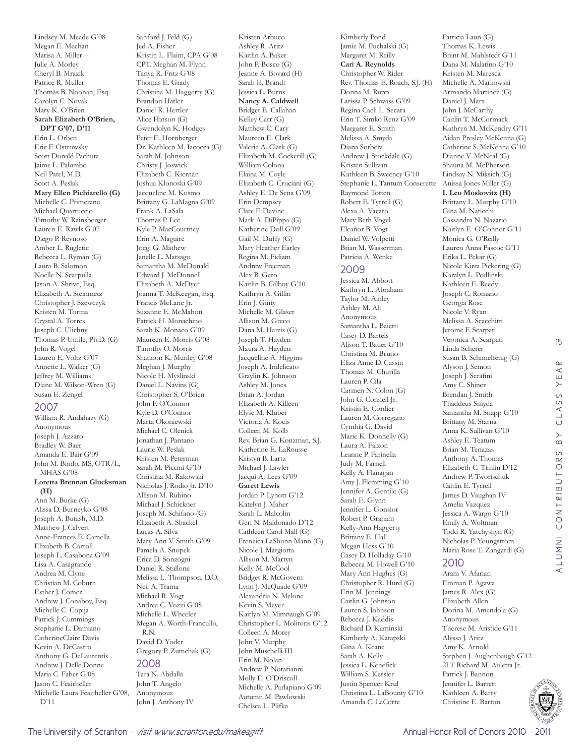Lindsey M. Meade G'08 Megan E. Meehan Marisa A. Miller Julie A. Morley Cheryl B. Mrazik Patrice R. Muller Thomas B. Noonan, Esq. Carolyn C. Novak Mary K. O'Brien **Sarah Elizabeth O'Brien, DPT G'07, D'11** Erin L. Orben Eric F. Ostrowsky Scott Donald Pachuta Jaime L. Palumbo Neil Patel, M.D. Scott A. Peslak **Mary Ellen Pichiarello (G)** Michelle C. Primerano Michael Quartuccio Timothy W. Rainsberger Lauren E. Rawls G'07 Diego P. Reynoso Amber L. Rugletic Rebecca L. Ryman (G) Laura B. Salomon Noelle N. Scarpulla Jason A. Shrive, Esq. Elizabeth A. Steinmetz Christopher J. Szewczyk Kristen M. Torma Crystal A. Torres Joseph C. Ulichny Thomas P. Umile, Ph.D. (G) John R. Vogel Lauren E. Voltz G'07 Annette L. Walker (G) Jeffrey M. Williams Diane M. Wilson-Wren (G) Susan E. Zengel 2007 William R. Andahazy (G)

Anonymous Joseph J. Azzaro Bradley W. Baer Amanda E. Bair G'09 John M. Bindo, MS, OTR/L, MHAS G'08 **Loretta Brennan Glucksman (H)** Ann M. Burke (G) Alissa D. Burneyko G'08 Joseph A. Butash, M.D. Matthew J. Calvert Anne-Frances E. Camella Elizabeth B. Carroll Joseph L. Casabona G'09 Lisa A. Casagrande Andrea M. Clyne Christian M. Coburn Esther J. Comer Andrew J. Conaboy, Esq. Michelle C. Copija Patrick J. Cummings Stephanie L. Damiano CatherineClaire Davis Kevin A. DeCastro Anthony G. DeLaurentis Andrew J. Delle Donne Maria C. Faber G'08 Jason C. Feairheller Michelle Laura Feairheller G'08, D'11

Sanford J. Feld (G) Jed A. Fisher Kristin L. Flaim, CPA G'08 CPT. Meghan M. Flynn Tanya R. Fritz G'08 Thomas E. Grady Christina M. Haggerty (G) Brandon Hatler Daniel R. Hertler Alice Hinson (G) Gwendolyn K. Hodges Peter E. Hornberger Dr. Kathleen M. Iacocca (G) Sarah M. Johnson Christy J. Joswick Elizabeth C. Kiernan Joshua Klonoski G'09 Jacqueline M. Kosmo Brittany G. LaMagna G'09 Frank A. LaSala Thomas P. Lee Kyle P. MacCourtney Erin A. Maguire Joegi G. Mathew Janelle L. Matsago Samantha M. McDonald Edward J. McDonnell Elizabeth A. McDyer Joanna T. McKeegan, Esq. Francis McLane Jr. Suzanne E. McMahon Patrick H. Monachino Sarah K. Monaco G'09 Maureen E. Morris G'08 Timothy O. Morris Shannon K. Munley G'08 Meghan J. Murphy Nicole H. Myslinski Daniel L. Navins (G) Christopher S. O'Brien John F. O'Connor Kyle D. O'Connor Marta Okoniewski Michael C. Olenick Jonathan J. Pantano Laurie W. Peslak Kristen M. Peterman Sarah M. Piccini G'10 Christina M. Rakowski Nicholas J. Rodio Jr. D'10 Allison M. Rubino Michael J. Schickner Joseph M. Schifano (G) Elizabeth A. Shackel Lucas A. Silva Mary Ann V. Smith G'09 Pamela A. Snopek Erica D. Sonzogni Daniel R. Stallone Melissa L. Thompson, D.O. Neil A. Trama Michael R. Vogt Andrea C. Vozzi G'08 Michelle L. Wheeler Megan A. Worth-Francullo, R.N. David D. Yoder Gregory P. Zumchak (G) 2008 Tara N. Abdalla

#### John T. Angelo Anonymous

John J. Anthony IV

Kristen Arbuco Ashley R. Aritz Kaitlin A. Baker John P. Bosco (G) Jeanne A. Bovard (H) Sarah E. Brandt Jessica L. Burns **Nancy A. Caldwell**  Bridget E. Callahan Kelley Carr (G) Matthew C. Cary Maureen E. Clark Valerie A. Clark (G) Elizabeth M. Cockerill (G) William Colona Elaina M. Coyle Elizabeth C. Cruciani (G) Ashley E. De Sena G'09 Erin Dempsey Clare F. Devine Mark A. DiPippa (G) Katherine Doll G'09 Gail M. Duffy (G) Mary Heather Earley Regina M. Fidiam Andrew Freeman Alex B. Gero Kaitlin B. Gilboy G'10 Kathryn A. Gillin Erin J. Ginty Michelle M. Glaser Allison M. Greco Dana M. Harris (G) Joseph T. Hayden Maura A. Hayden Jacqueline A. Higgins Joseph A. Indelicato Graylin K. Johnson Ashley M. Jones Brian A. Jordan Elizabeth A. Killeen Elyse M. Kluber Victoria A. Kocis Colleen M. Kolb Rev. Brian G. Konzman, S.J. Katherine E. LaRousse Kristyn B. Lartz Michael J. Lawler Jacqui A. Lees G'09 **Garett Lewis**  Jordan P. Lynott G'12 Katelyn J. Maher Sarah L. Malcolm Geri N. Maldonado D'12 Cathleen Carol Mall (G) Frenzica LaShunn Mann (G) Nicole J. Margiotta Allison M. Martyn Kelly M. McCool Bridget R. McGovern Lynn J. McQuade G'09 Alexandria N. Melone Kevin S. Meyer Kaitlyn M. Mimnaugh G'09 Christopher L. Molitoris G'12 Colleen A. Morey John V. Murphy John Muschelli III Erin M. Nolan Andrew P. Notarianni Molly E. O'Driscoll Michelle A. Parlapiano G'09 Autumn M. Pawlowski Chelsea L. Plifka

Kimberly Pond Jamie M. Puchalski (G) Margaret M. Reilly **Cari A. Reynolds**  Christopher W. Rider Rev. Thomas E. Roach, S.J. (H) Donna M. Rupp Larissa P. Schwass G'09 Regina Caeli L. Secara Erin T. Simko Renz G'09 Margaret E. Smith Melissa A. Smyda Diana Sorbera Andrew J. Stockdale (G) Kristen Sullivan Kathleen B. Sweeney G'10 Stephanie L. Tantum Conserette Raymond Totten Robert E. Tyrrell (G) Alexa A. Vacaro Mary Beth Vogel Eleanor B. Vogt Daniel W. Volpetti Brian M. Wasserman Patricia A. Wenke

#### 2009

Jessica M. Abbott Kathryn L. Abraham Taylor M. Ainley Ashley M. Alt Anonymous Samantha L. Baietti Casey D. Bartels Alison T. Bauer G'10 Christina M. Bruno Eliza Anne D. Cassin Thomas M. Churilla Lauren P. Cila Carmen N. Colon (G) John G. Connell Jr. Kristin E. Cordier Lauren M. Corregano Cynthia G. David Marie K. Donnelly (G) Laura A. Falzon Leanne P. Farinella Judy M. Farnell Kelly A. Flanagan Amy J. Flemming G'10 Jennifer A. Gentile (G) Sarah E. Glynn Jennifer L. Gonsior Robert P. Graham Kelly-Ann Haggerty Brittany E. Hall Megan Hess G'10 Casey D. Holladay G'10 Rebecca M. Howell G'10 Mary Ann Hughes (G) Christopher R. Hurd (G) Erin M. Jennings Caitlin G. Johnson Lauren S. Johnson Rebecca J. Kaddis Richard D. Kaminski Kimberly A. Katapski Gina A. Keane Sarah A. Kelly Jessica L. Kenefick William S. Kessler Justin Spencer Krul Christina L. LaBounty G'10 Amanda C. LaCorte

Patricia Laun (G) Thomas K. Lewis Brent M. Mahlstedt G'11 Dana M. Malatino G'10 Kristen M. Maresca Michelle A. Markowski Armando Martinez (G) Daniel J. Marx John J. McCarthy Caitlin T. McCormack Kathryn M. McKendry G'11 Aidan Presley McKenna (G) Catherine S. McKenna G'10 Dianne V. McNeal (G) Shauna M. McPherson Lindsay N. Miksich (G) Anissa Jones Miller (G) **I. Leo Moskovitz (H)** Brittany L. Murphy G'10 Gina M. Naticchi Cassandra N. Nazario Kaitlyn E. O'Connor G'11 Monica G. O'Reilly Lauren Anna Pascoe G'11 Erika L. Pekar (G) Nicole Kirra Pickering (G) Karalyn L. Podlinski Kathleen E. Reedy Joseph C. Romano Georgia Rose Nicole V. Ryan Melissa A. Scacchitti Jerome F. Scarpati Veronica A. Scarpati Linda Scherer Susan B. Schimelfenig (G) Alyson J. Semon Joseph J. Serafini Amy C. Shiner Brendan J. Smith Thaddeus Smyda Samantha M. Snapp G'10 Brittany M. Starna Anna K. Sullivan G'10 Ashley E. Teatum Brian M. Tenazas Anthony A. Thomas Elizabeth C. Timlin D'12 Andrew P. Tworischuk Caitlin E. Tyrrell James D. Vaughan IV Amelia Vazquez Jessica A. Wargo G'10 Emily A. Woltman Todd R. Yatchyshyn (G) Nicholas P. Youngstrom Maria Rose T. Zangardi (G) 2010 Aram V. Afarian Emman P. Agawa



15

James R. Alex (G) Elizabeth Allen Dorina M. Amendola (G)

Therese M. Aristide G'11

Stephen J. Aughenbaugh G'12 2LT Richard M. Auletta Jr. Patrick J. Bannon Jennifer L. Barrett Kathleen A. Barry Christine E. Barton

Anonymous

Alyssa J. Aritz Amy K. Arnold